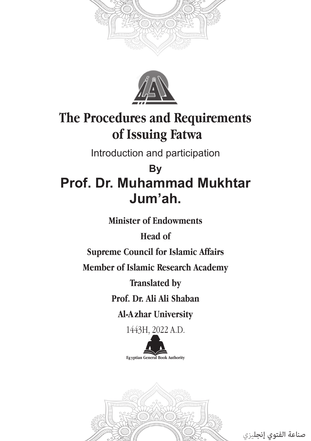



# **The Procedures and Requirements of Issuing Fatwa**

Introduction and participation

# **By Prof. Dr. Muhammad Mukhtar Jum'ah.**

**Minister of Endowments**

**Head of** 

**Supreme Council for Islamic Affairs**

**Member of Islamic Research Academy**

**Translated by**

**Prof. Dr. Ali Ali Shaban**

**Al-A zhar University**

1443H, 2022 A.D.



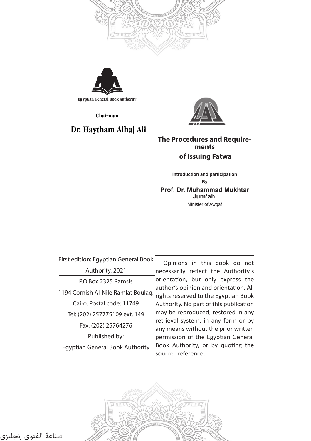



**Eg yptian General Book Authority**

**Chairman**

#### **Dr. Haytham Alhaj Ali**



#### **The Procedures and Requirements of Issuing Fatwa**

**Introduction and participation By Prof. Dr. Muhammad Mukhtar Jum'ah.** Minister of Awqaf

First edition: Egyptian General Book Authority, 2021 P.O.Box 2325 Ramsis Cairo. Postal code: 11749 Tel: (202) 257775109 ext. 149 Fax: (202) 25764276 Published by: Egyptian General Book Authority

Opinions in this book do not necessarily reflect the Authority's orientation, but only express the author's opinion and orientation. All 1194 Cornish Al-Nile Ramlat Boulaq, rights reserved to the Egyptian Book Authority. No part of this publication may be reproduced, restored in any retrieval system, in any form or by any means without the prior written permission of the Egyptian General Book Authority, or by quoting the source reference.

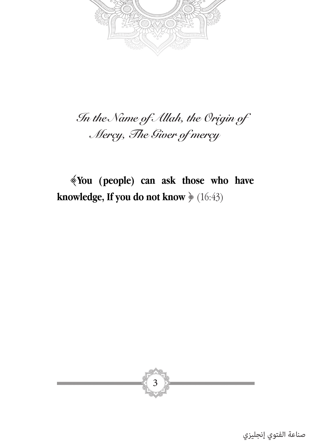

# *In the Name of Allah, the Origin of Mercy, The Giver of mercy*

﴾**You (people) can ask those who have knowledge, If you do not know** ﴿ (16:43)

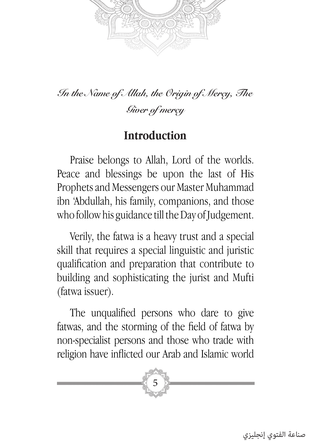

*In the Name of Allah, the Origin of Mercy, The Giver of mercy*

#### **Introduction**

Praise belongs to Allah, Lord of the worlds. Peace and blessings be upon the last of His Prophets and Messengers our Master Muhammad ibn 'Abdullah, his family, companions, and those who follow his guidance till the Day of Judgement.

Verily, the fatwa is a heavy trust and a special skill that requires a special linguistic and juristic qualification and preparation that contribute to building and sophisticating the jurist and Mufti (fatwa issuer).

The unqualified persons who dare to give fatwas, and the storming of the field of fatwa by non-specialist persons and those who trade with religion have inflicted our Arab and Islamic world

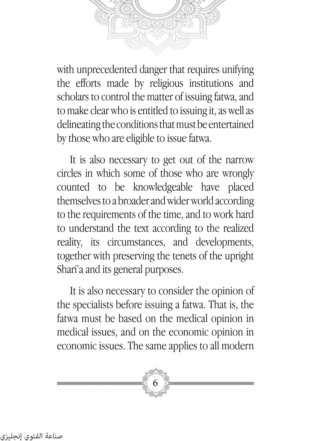with unprecedented danger that requires unifying the efforts made by religious institutions and scholars to control the matter of issuing fatwa, and to make clear who is entitled to issuing it, as well as delineating the conditions that must be entertained by those who are eligible to issue fatwa.

It is also necessary to get out of the narrow circles in which some of those who are wrongly counted to be knowledgeable have placed themselves to a broader and wider world according to the requirements of the time, and to work hard to understand the text according to the realized reality, its circumstances, and developments, together with preserving the tenets of the upright Shari'a and its general purposes.

It is also necessary to consider the opinion of the specialists before issuing a fatwa. That is, the fatwa must be based on the medical opinion in medical issues, and on the economic opinion in economic issues. The same applies to all modern

6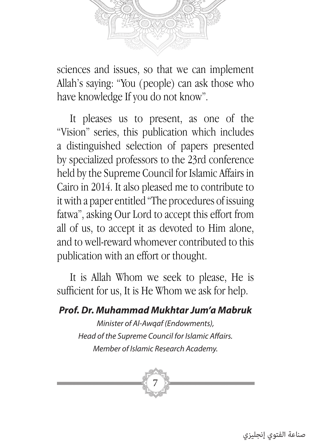

sciences and issues, so that we can implement Allah's saying: "You (people) can ask those who have knowledge If you do not know".

It pleases us to present, as one of the "Vision" series, this publication which includes a distinguished selection of papers presented by specialized professors to the 23rd conference held by the Supreme Council for Islamic Affairs in Cairo in 2014. It also pleased me to contribute to it with a paper entitled "The procedures of issuing fatwa", asking Our Lord to accept this effort from all of us, to accept it as devoted to Him alone, and to well-reward whomever contributed to this publication with an effort or thought.

It is Allah Whom we seek to please, He is sufficient for us, It is He Whom we ask for help.

#### *Prof. Dr. Muhammad Mukhtar Jum'a Mabruk*

*Minister of Al-Awqaf (Endowments), Head of the Supreme Council for Islamic Affairs. Member of Islamic Research Academy.*

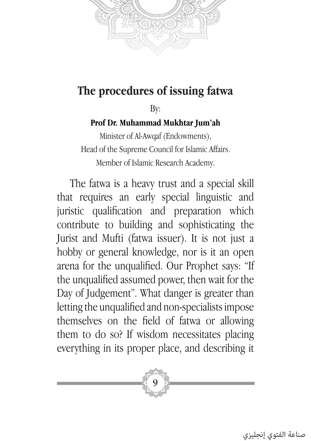

### **The procedures of issuing fatwa**

By:

#### **Prof Dr. Muhammad Mukhtar Jum'ah**

Minister of Al-Awqaf (Endowments), Head of the Supreme Council for Islamic Affairs. Member of Islamic Research Academy.

The fatwa is a heavy trust and a special skill that requires an early special linguistic and juristic qualification and preparation which contribute to building and sophisticating the Jurist and Mufti (fatwa issuer). It is not just a hobby or general knowledge, nor is it an open arena for the unqualified. Our Prophet says: "If the unqualified assumed power, then wait for the Day of Judgement". What danger is greater than letting the unqualified and non-specialists impose themselves on the field of fatwa or allowing them to do so? If wisdom necessitates placing everything in its proper place, and describing it

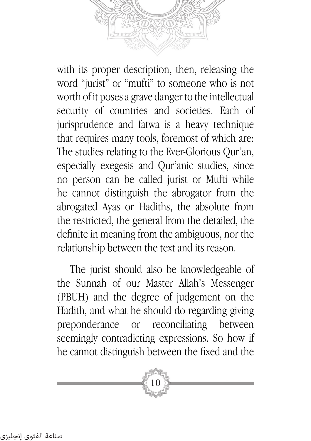with its proper description, then, releasing the word "jurist" or "mufti" to someone who is not worth of it poses a grave danger to the intellectual security of countries and societies. Each of jurisprudence and fatwa is a heavy technique that requires many tools, foremost of which are: The studies relating to the Ever-Glorious Qur'an, especially exegesis and Qur'anic studies, since no person can be called jurist or Mufti while he cannot distinguish the abrogator from the abrogated Ayas or Hadiths, the absolute from the restricted, the general from the detailed, the definite in meaning from the ambiguous, nor the relationship between the text and its reason.

The jurist should also be knowledgeable of the Sunnah of our Master Allah's Messenger (PBUH) and the degree of judgement on the Hadith, and what he should do regarding giving preponderance or reconciliating between seemingly contradicting expressions. So how if he cannot distinguish between the fixed and the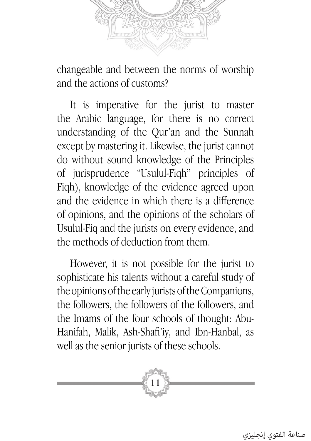

changeable and between the norms of worship and the actions of customs?

It is imperative for the jurist to master the Arabic language, for there is no correct understanding of the Qur'an and the Sunnah except by mastering it. Likewise, the jurist cannot do without sound knowledge of the Principles of jurisprudence "Usulul-Fiqh" principles of Fiqh), knowledge of the evidence agreed upon and the evidence in which there is a difference of opinions, and the opinions of the scholars of Usulul-Fiq and the jurists on every evidence, and the methods of deduction from them.

However, it is not possible for the jurist to sophisticate his talents without a careful study of the opinions of the early jurists of the Companions, the followers, the followers of the followers, and the Imams of the four schools of thought: Abu-Hanifah, Malik, Ash-Shafi'iy, and Ibn-Hanbal, as well as the senior jurists of these schools.

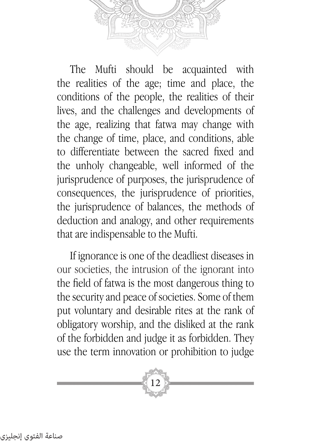

The Mufti should be acquainted with the realities of the age; time and place, the conditions of the people, the realities of their lives, and the challenges and developments of the age, realizing that fatwa may change with the change of time, place, and conditions, able to differentiate between the sacred fixed and the unholy changeable, well informed of the jurisprudence of purposes, the jurisprudence of consequences, the jurisprudence of priorities, the jurisprudence of balances, the methods of deduction and analogy, and other requirements that are indispensable to the Mufti.

If ignorance is one of the deadliest diseases in our societies, the intrusion of the ignorant into the field of fatwa is the most dangerous thing to the security and peace of societies. Some of them put voluntary and desirable rites at the rank of obligatory worship, and the disliked at the rank of the forbidden and judge it as forbidden. They use the term innovation or prohibition to judge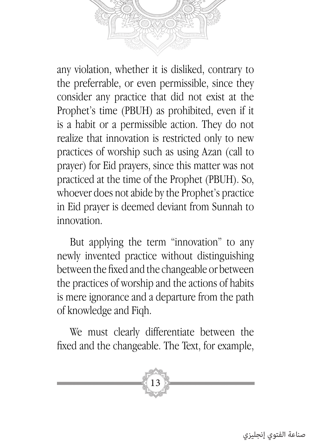

any violation, whether it is disliked, contrary to the preferrable, or even permissible, since they consider any practice that did not exist at the Prophet's time (PBUH) as prohibited, even if it is a habit or a permissible action. They do not realize that innovation is restricted only to new practices of worship such as using Azan (call to prayer) for Eid prayers, since this matter was not practiced at the time of the Prophet (PBUH). So, whoever does not abide by the Prophet's practice in Eid prayer is deemed deviant from Sunnah to innovation.

But applying the term "innovation" to any newly invented practice without distinguishing between the fixed and the changeable or between the practices of worship and the actions of habits is mere ignorance and a departure from the path of knowledge and Fiqh.

We must clearly differentiate between the fixed and the changeable. The Text, for example,

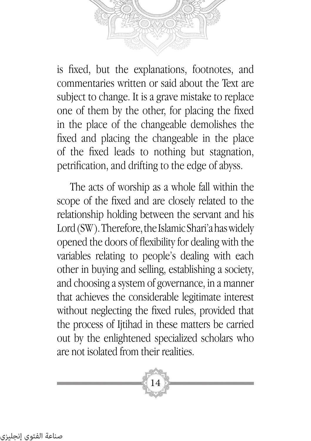

is fixed, but the explanations, footnotes, and commentaries written or said about the Text are subject to change. It is a grave mistake to replace one of them by the other, for placing the fixed in the place of the changeable demolishes the fixed and placing the changeable in the place of the fixed leads to nothing but stagnation, petrification, and drifting to the edge of abyss.

The acts of worship as a whole fall within the scope of the fixed and are closely related to the relationship holding between the servant and his Lord (SW). Therefore, the Islamic Shari'a has widely opened the doors of flexibility for dealing with the variables relating to people's dealing with each other in buying and selling, establishing a society, and choosing a system of governance, in a manner that achieves the considerable legitimate interest without neglecting the fixed rules, provided that the process of Ijtihad in these matters be carried out by the enlightened specialized scholars who are not isolated from their realities.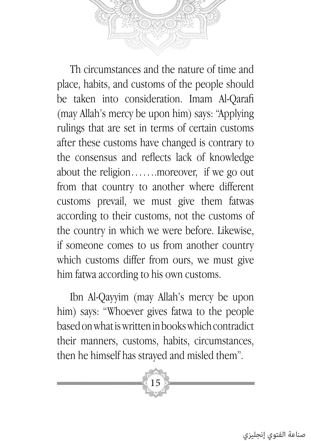

Th circumstances and the nature of time and place, habits, and customs of the people should be taken into consideration. Imam Al-Qarafi (may Allah's mercy be upon him) says: "Applying rulings that are set in terms of certain customs after these customs have changed is contrary to the consensus and reflects lack of knowledge about the religion…….moreover, if we go out from that country to another where different customs prevail, we must give them fatwas according to their customs, not the customs of the country in which we were before. Likewise, if someone comes to us from another country which customs differ from ours, we must give him fatwa according to his own customs.

Ibn Al-Qayyim (may Allah's mercy be upon him) says: "Whoever gives fatwa to the people based on what is written in books which contradict their manners, customs, habits, circumstances, then he himself has strayed and misled them".

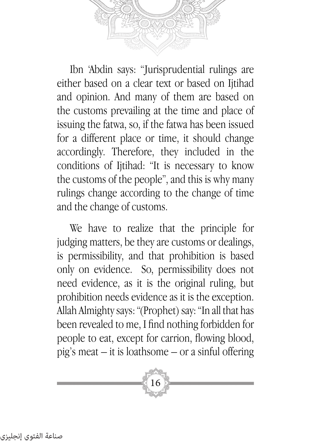

Ibn 'Abdin says: "Jurisprudential rulings are either based on a clear text or based on Ijtihad and opinion. And many of them are based on the customs prevailing at the time and place of issuing the fatwa, so, if the fatwa has been issued for a different place or time, it should change accordingly. Therefore, they included in the conditions of Ijtihad: "It is necessary to know the customs of the people", and this is why many rulings change according to the change of time and the change of customs.

We have to realize that the principle for judging matters, be they are customs or dealings, is permissibility, and that prohibition is based only on evidence. So, permissibility does not need evidence, as it is the original ruling, but prohibition needs evidence as it is the exception. Allah Almighty says: "(Prophet) say: "In all that has been revealed to me, I find nothing forbidden for people to eat, except for carrion, flowing blood, pig's meat – it is loathsome – or a sinful offering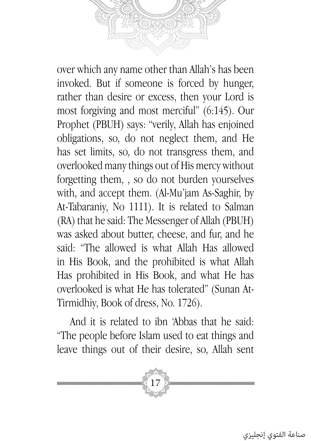over which any name other than Allah's has been invoked. But if someone is forced by hunger,

rather than desire or excess, then your Lord is most forgiving and most merciful" (6:145). Our Prophet (PBUH) says: "verily, Allah has enjoined obligations, so, do not neglect them, and He has set limits, so, do not transgress them, and overlooked many things out of His mercy without forgetting them, , so do not burden yourselves with, and accept them. (Al-Mu'jam As-Saghir, by At-Tabaraniy, No 1111). It is related to Salman (RA) that he said: The Messenger of Allah (PBUH) was asked about butter, cheese, and fur, and he said: "The allowed is what Allah Has allowed in His Book, and the prohibited is what Allah Has prohibited in His Book, and what He has overlooked is what He has tolerated" (Sunan At-Tirmidhiy, Book of dress, No. 1726).

And it is related to ibn 'Abbas that he said: "The people before Islam used to eat things and leave things out of their desire, so, Allah sent

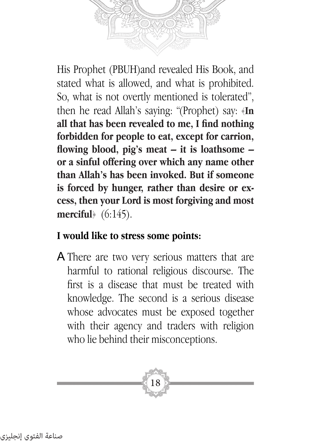

His Prophet (PBUH)and revealed His Book, and stated what is allowed, and what is prohibited. So, what is not overtly mentioned is tolerated", then he read Allah's saying: "(Prophet) say: ﴿**In all that has been revealed to me, I find nothing forbidden for people to eat, except for carrion, flowing blood, pig's meat – it is loathsome – or a sinful offering over which any name other than Allah's has been invoked. But if someone is forced by hunger, rather than desire or excess, then your Lord is most forgiving and most merciful**﴾ (6:145).

#### **I would like to stress some points:**

A There are two very serious matters that are harmful to rational religious discourse. The first is a disease that must be treated with knowledge. The second is a serious disease whose advocates must be exposed together with their agency and traders with religion who lie behind their misconceptions.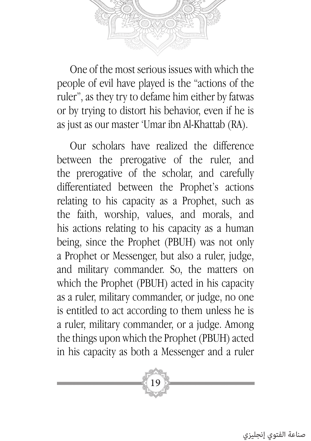

One of the most serious issues with which the people of evil have played is the "actions of the ruler", as they try to defame him either by fatwas or by trying to distort his behavior, even if he is as just as our master 'Umar ibn Al-Khattab (RA).

Our scholars have realized the difference between the prerogative of the ruler, and the prerogative of the scholar, and carefully differentiated between the Prophet's actions relating to his capacity as a Prophet, such as the faith, worship, values, and morals, and his actions relating to his capacity as a human being, since the Prophet (PBUH) was not only a Prophet or Messenger, but also a ruler, judge, and military commander. So, the matters on which the Prophet (PBUH) acted in his capacity as a ruler, military commander, or judge, no one is entitled to act according to them unless he is a ruler, military commander, or a judge. Among the things upon which the Prophet (PBUH) acted in his capacity as both a Messenger and a ruler

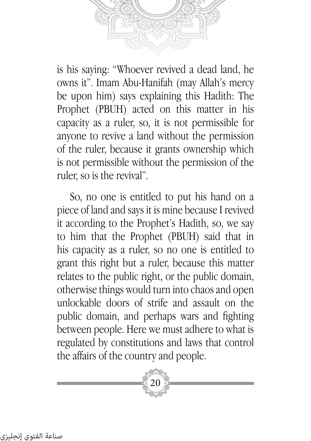

is his saying: "Whoever revived a dead land, he owns it". Imam Abu-Hanifah (may Allah's mercy be upon him) says explaining this Hadith: The Prophet (PBUH) acted on this matter in his capacity as a ruler, so, it is not permissible for anyone to revive a land without the permission of the ruler, because it grants ownership which is not permissible without the permission of the ruler, so is the revival".

So, no one is entitled to put his hand on a piece of land and says it is mine because I revived it according to the Prophet's Hadith, so, we say to him that the Prophet (PBUH) said that in his capacity as a ruler, so no one is entitled to grant this right but a ruler, because this matter relates to the public right, or the public domain, otherwise things would turn into chaos and open unlockable doors of strife and assault on the public domain, and perhaps wars and fighting between people. Here we must adhere to what is regulated by constitutions and laws that control the affairs of the country and people.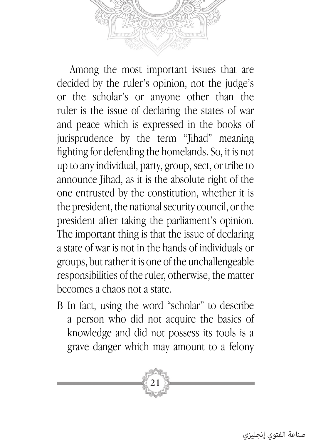

Among the most important issues that are decided by the ruler's opinion, not the judge's or the scholar's or anyone other than the ruler is the issue of declaring the states of war and peace which is expressed in the books of jurisprudence by the term "Jihad" meaning fighting for defending the homelands. So, it is not up to any individual, party, group, sect, or tribe to announce Jihad, as it is the absolute right of the one entrusted by the constitution, whether it is the president, the national security council, or the president after taking the parliament's opinion. The important thing is that the issue of declaring a state of war is not in the hands of individuals or groups, but rather it is one of the unchallengeable responsibilities of the ruler, otherwise, the matter becomes a chaos not a state.

B In fact, using the word "scholar" to describe a person who did not acquire the basics of knowledge and did not possess its tools is a grave danger which may amount to a felony

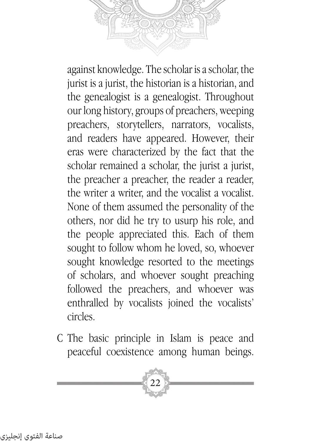against knowledge. The scholar is a scholar, the jurist is a jurist, the historian is a historian, and the genealogist is a genealogist. Throughout our long history, groups of preachers, weeping preachers, storytellers, narrators, vocalists, and readers have appeared. However, their eras were characterized by the fact that the scholar remained a scholar, the jurist a jurist, the preacher a preacher, the reader a reader, the writer a writer, and the vocalist a vocalist. None of them assumed the personality of the others, nor did he try to usurp his role, and the people appreciated this. Each of them sought to follow whom he loved, so, whoever sought knowledge resorted to the meetings of scholars, and whoever sought preaching followed the preachers, and whoever was enthralled by vocalists joined the vocalists' circles.

C The basic principle in Islam is peace and peaceful coexistence among human beings.

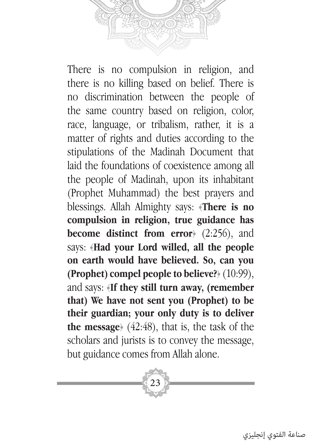

There is no compulsion in religion, and there is no killing based on belief. There is no discrimination between the people of the same country based on religion, color, race, language, or tribalism, rather, it is a matter of rights and duties according to the stipulations of the Madinah Document that laid the foundations of coexistence among all the people of Madinah, upon its inhabitant (Prophet Muhammad) the best prayers and blessings. Allah Almighty says: ﴿**There is no compulsion in religion, true guidance has become distinct from error**﴾ (2:256), and says: ﴿**Had your Lord willed, all the people on earth would have believed. So, can you (Prophet) compel people to believe?**﴾ (10:99), and says: ﴿**If they still turn away, (remember that) We have not sent you (Prophet) to be their guardian; your only duty is to deliver the message**﴾ (42:48), that is, the task of the scholars and jurists is to convey the message, but guidance comes from Allah alone.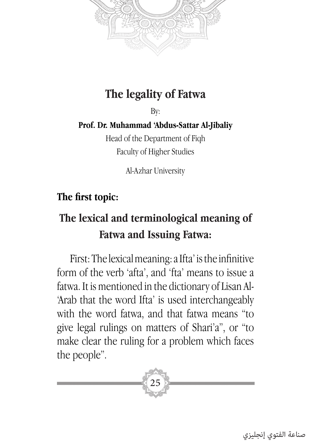

# **The legality of Fatwa**

By:

**Prof. Dr. Muhammad 'Abdus-Sattar Al-Jibaliy**

Head of the Department of Fiqh Faculty of Higher Studies

Al-Azhar University

#### **The first topic:**

# **The lexical and terminological meaning of Fatwa and Issuing Fatwa:**

First: The lexical meaning: a Ifta' is the infinitive form of the verb 'afta', and 'fta' means to issue a fatwa. It is mentioned in the dictionary of Lisan Al- 'Arab that the word Ifta' is used interchangeably with the word fatwa, and that fatwa means "to give legal rulings on matters of Shari'a", or "to make clear the ruling for a problem which faces the people".

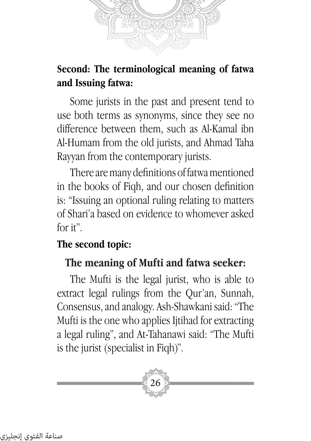

### **Second: The terminological meaning of fatwa and Issuing fatwa:**

Some jurists in the past and present tend to use both terms as synonyms, since they see no difference between them, such as Al-Kamal ibn Al-Humam from the old jurists, and Ahmad Taha Rayyan from the contemporary jurists.

There are many definitions of fatwa mentioned in the books of Fiqh, and our chosen definition is: "Issuing an optional ruling relating to matters of Shari'a based on evidence to whomever asked for it".

#### **The second topic:**

### **The meaning of Mufti and fatwa seeker:**

The Mufti is the legal jurist, who is able to extract legal rulings from the Qur'an, Sunnah, Consensus, and analogy. Ash-Shawkani said: "The Mufti is the one who applies Ijtihad for extracting a legal ruling", and At-Tahanawi said: "The Mufti is the jurist (specialist in Fiqh)".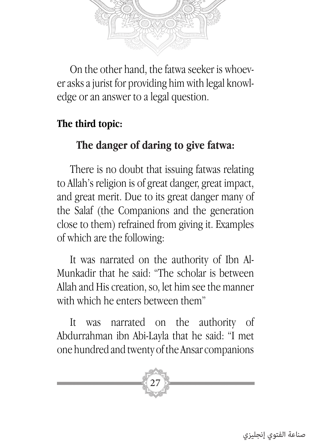

On the other hand, the fatwa seeker is whoever asks a jurist for providing him with legal knowledge or an answer to a legal question.

#### **The third topic:**

## **The danger of daring to give fatwa:**

There is no doubt that issuing fatwas relating to Allah's religion is of great danger, great impact, and great merit. Due to its great danger many of the Salaf (the Companions and the generation close to them) refrained from giving it. Examples of which are the following:

It was narrated on the authority of Ibn Al-Munkadir that he said: "The scholar is between Allah and His creation, so, let him see the manner with which he enters between them"

It was narrated on the authority of Abdurrahman ibn Abi-Layla that he said: "I met one hundred and twenty of the Ansar companions

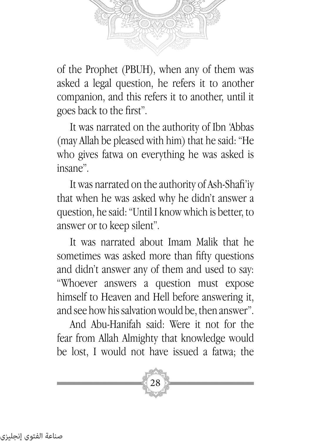

of the Prophet (PBUH), when any of them was asked a legal question, he refers it to another companion, and this refers it to another, until it goes back to the first".

It was narrated on the authority of Ibn 'Abbas (may Allah be pleased with him) that he said: "He who gives fatwa on everything he was asked is insane".

It was narrated on the authority of Ash-Shafi'iy that when he was asked why he didn't answer a question, he said: "Until I know which is better, to answer or to keep silent".

It was narrated about Imam Malik that he sometimes was asked more than fifty questions and didn't answer any of them and used to say: "Whoever answers a question must expose himself to Heaven and Hell before answering it, and see how his salvation would be, then answer".

And Abu-Hanifah said: Were it not for the fear from Allah Almighty that knowledge would be lost, I would not have issued a fatwa; the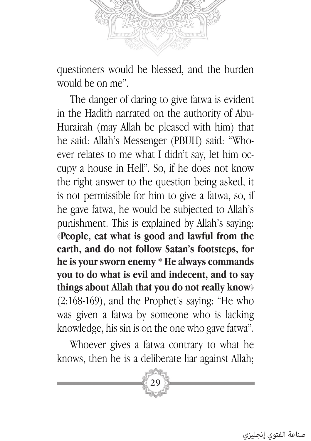

questioners would be blessed, and the burden would be on me".

The danger of daring to give fatwa is evident in the Hadith narrated on the authority of Abu-Hurairah (may Allah be pleased with him) that he said: Allah's Messenger (PBUH) said: "Whoever relates to me what I didn't say, let him occupy a house in Hell". So, if he does not know the right answer to the question being asked, it is not permissible for him to give a fatwa, so, if he gave fatwa, he would be subjected to Allah's punishment. This is explained by Allah's saying: ﴿**People, eat what is good and lawful from the earth, and do not follow Satan's footsteps, for he is your sworn enemy \* He always commands you to do what is evil and indecent, and to say things about Allah that you do not really know**﴾ (2:168-169), and the Prophet's saying: "He who was given a fatwa by someone who is lacking knowledge, his sin is on the one who gave fatwa".

Whoever gives a fatwa contrary to what he knows, then he is a deliberate liar against Allah;

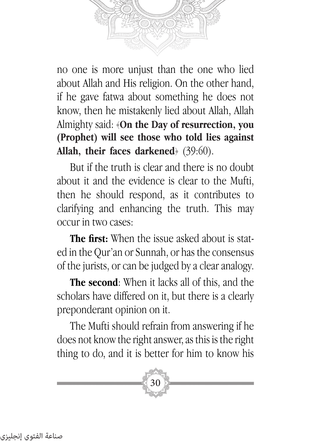no one is more unjust than the one who lied about Allah and His religion. On the other hand, if he gave fatwa about something he does not know, then he mistakenly lied about Allah, Allah Almighty said: ﴿**On the Day of resurrection, you (Prophet) will see those who told lies against Allah, their faces darkened**﴾ (39:60).

But if the truth is clear and there is no doubt about it and the evidence is clear to the Mufti, then he should respond, as it contributes to clarifying and enhancing the truth. This may occur in two cases:

**The first:** When the issue asked about is stated in the Qur'an or Sunnah, or has the consensus of the jurists, or can be judged by a clear analogy.

**The second**: When it lacks all of this, and the scholars have differed on it, but there is a clearly preponderant opinion on it.

The Mufti should refrain from answering if he does not know the right answer, as this is the right thing to do, and it is better for him to know his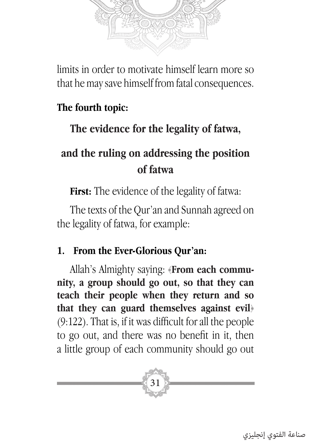

limits in order to motivate himself learn more so that he may save himself from fatal consequences.

### **The fourth topic:**

## **The evidence for the legality of fatwa,**

# **and the ruling on addressing the position of fatwa**

**First:** The evidence of the legality of fatwa:

The texts of the Qur'an and Sunnah agreed on the legality of fatwa, for example:

#### **1. From the Ever-Glorious Qur'an:**

Allah's Almighty saying: ﴿**From each community, a group should go out, so that they can teach their people when they return and so that they can guard themselves against evil**﴾ (9:122). That is, if it was difficult for all the people to go out, and there was no benefit in it, then a little group of each community should go out

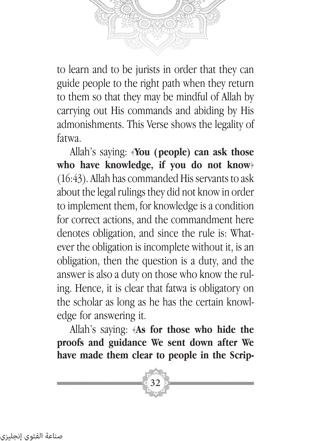to learn and to be jurists in order that they can guide people to the right path when they return to them so that they may be mindful of Allah by carrying out His commands and abiding by His admonishments. This Verse shows the legality of fatwa.

Allah's saying: ﴿**You (people) can ask those who have knowledge, if you do not know**﴾ (16:43). Allah has commanded His servants to ask about the legal rulings they did not know in order to implement them, for knowledge is a condition for correct actions, and the commandment here denotes obligation, and since the rule is: Whatever the obligation is incomplete without it, is an obligation, then the question is a duty, and the answer is also a duty on those who know the ruling. Hence, it is clear that fatwa is obligatory on the scholar as long as he has the certain knowledge for answering it.

Allah's saying: ﴿**As for those who hide the proofs and guidance We sent down after We have made them clear to people in the Scrip-**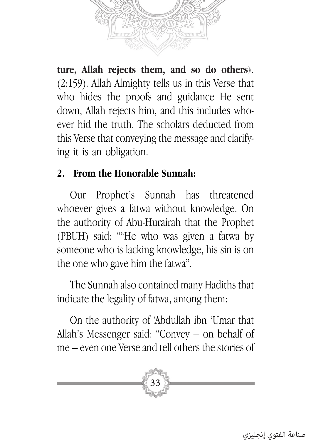

**ture, Allah rejects them, and so do others**﴾. (2:159). Allah Almighty tells us in this Verse that who hides the proofs and guidance He sent down, Allah rejects him, and this includes whoever hid the truth. The scholars deducted from this Verse that conveying the message and clarifying it is an obligation.

#### **2. From the Honorable Sunnah:**

Our Prophet's Sunnah has threatened whoever gives a fatwa without knowledge. On the authority of Abu-Hurairah that the Prophet (PBUH) said: ""He who was given a fatwa by someone who is lacking knowledge, his sin is on the one who gave him the fatwa".

The Sunnah also contained many Hadiths that indicate the legality of fatwa, among them:

On the authority of 'Abdullah ibn 'Umar that Allah's Messenger said: "Convey – on behalf of me – even one Verse and tell others the stories of

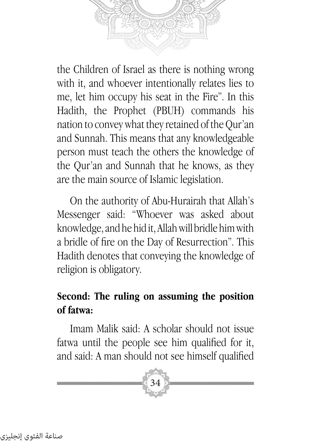the Children of Israel as there is nothing wrong with it, and whoever intentionally relates lies to me, let him occupy his seat in the Fire". In this Hadith, the Prophet (PBUH) commands his nation to convey what they retained of the Qur'an and Sunnah. This means that any knowledgeable person must teach the others the knowledge of the Qur'an and Sunnah that he knows, as they are the main source of Islamic legislation.

On the authority of Abu-Hurairah that Allah's Messenger said: "Whoever was asked about knowledge, and he hid it, Allah will bridle him with a bridle of fire on the Day of Resurrection". This Hadith denotes that conveying the knowledge of religion is obligatory.

### **Second: The ruling on assuming the position of fatwa:**

Imam Malik said: A scholar should not issue fatwa until the people see him qualified for it, and said: A man should not see himself qualified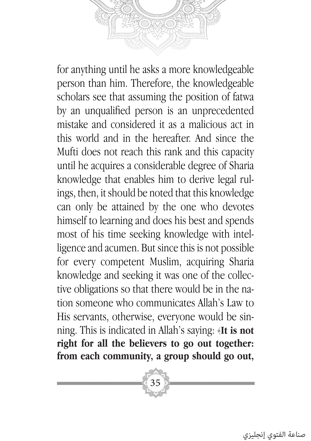for anything until he asks a more knowledgeable person than him. Therefore, the knowledgeable scholars see that assuming the position of fatwa by an unqualified person is an unprecedented mistake and considered it as a malicious act in this world and in the hereafter. And since the Mufti does not reach this rank and this capacity until he acquires a considerable degree of Sharia knowledge that enables him to derive legal rulings, then, it should be noted that this knowledge can only be attained by the one who devotes himself to learning and does his best and spends most of his time seeking knowledge with intelligence and acumen. But since this is not possible for every competent Muslim, acquiring Sharia knowledge and seeking it was one of the collective obligations so that there would be in the nation someone who communicates Allah's Law to His servants, otherwise, everyone would be sin-

ning. This is indicated in Allah's saying: ﴿**It is not right for all the believers to go out together: from each community, a group should go out,** 

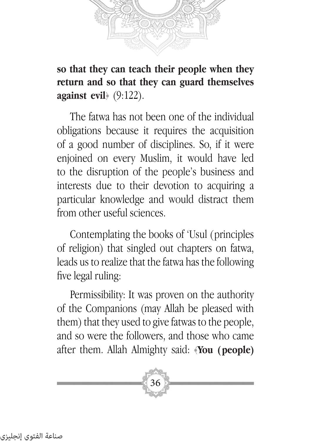

**so that they can teach their people when they return and so that they can guard themselves against evil**﴾ (9:122).

The fatwa has not been one of the individual obligations because it requires the acquisition of a good number of disciplines. So, if it were enjoined on every Muslim, it would have led to the disruption of the people's business and interests due to their devotion to acquiring a particular knowledge and would distract them from other useful sciences.

Contemplating the books of 'Usul (principles of religion) that singled out chapters on fatwa, leads us to realize that the fatwa has the following five legal ruling:

Permissibility: It was proven on the authority of the Companions (may Allah be pleased with them) that they used to give fatwas to the people, and so were the followers, and those who came after them. Allah Almighty said: ﴿**You (people)**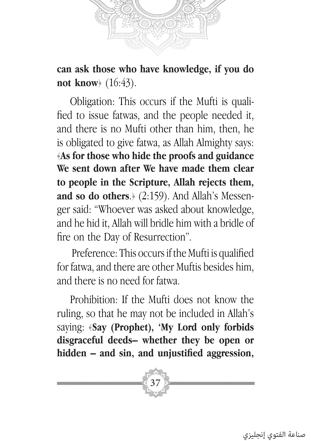

**can ask those who have knowledge, if you do not know**﴾ (16:43).

Obligation: This occurs if the Mufti is qualified to issue fatwas, and the people needed it, and there is no Mufti other than him, then, he is obligated to give fatwa, as Allah Almighty says: ﴿**As for those who hide the proofs and guidance We sent down after We have made them clear to people in the Scripture, Allah rejects them, and so do others**.﴾ (2:159). And Allah's Messenger said: "Whoever was asked about knowledge, and he hid it, Allah will bridle him with a bridle of fire on the Day of Resurrection".

 Preference: This occurs if the Mufti is qualified for fatwa, and there are other Muftis besides him, and there is no need for fatwa.

Prohibition: If the Mufti does not know the ruling, so that he may not be included in Allah's saying: ﴿**Say (Prophet), 'My Lord only forbids disgraceful deeds– whether they be open or hidden – and sin, and unjustified aggression,** 

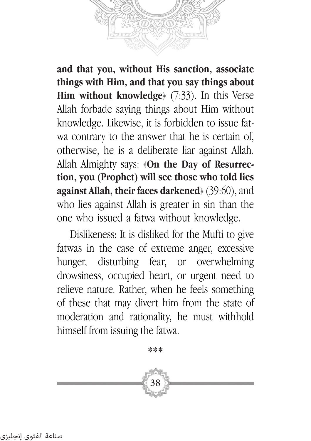

**and that you, without His sanction, associate things with Him, and that you say things about Him without knowledge** (7:33). In this Verse Allah forbade saying things about Him without knowledge. Likewise, it is forbidden to issue fatwa contrary to the answer that he is certain of, otherwise, he is a deliberate liar against Allah. Allah Almighty says: ﴿**On the Day of Resurrection, you (Prophet) will see those who told lies against Allah, their faces darkened**﴾ (39:60), and who lies against Allah is greater in sin than the one who issued a fatwa without knowledge.

Dislikeness: It is disliked for the Mufti to give fatwas in the case of extreme anger, excessive hunger, disturbing fear, or overwhelming drowsiness, occupied heart, or urgent need to relieve nature. Rather, when he feels something of these that may divert him from the state of moderation and rationality, he must withhold himself from issuing the fatwa.

**\*\*\***

38

صناعة الفتوي إنجليزي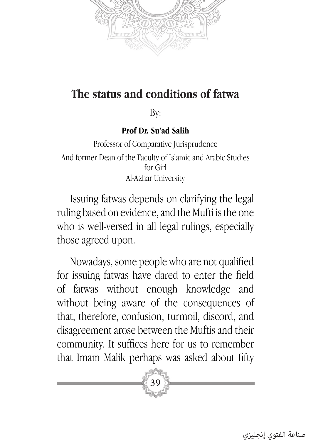

## **The status and conditions of fatwa**

By:

#### **Prof Dr. Su'ad Salih**

Professor of Comparative Jurisprudence And former Dean of the Faculty of Islamic and Arabic Studies for Girl Al-Azhar University

Issuing fatwas depends on clarifying the legal ruling based on evidence, and the Mufti is the one who is well-versed in all legal rulings, especially those agreed upon.

Nowadays, some people who are not qualified for issuing fatwas have dared to enter the field of fatwas without enough knowledge and without being aware of the consequences of that, therefore, confusion, turmoil, discord, and disagreement arose between the Muftis and their community. It suffices here for us to remember that Imam Malik perhaps was asked about fifty

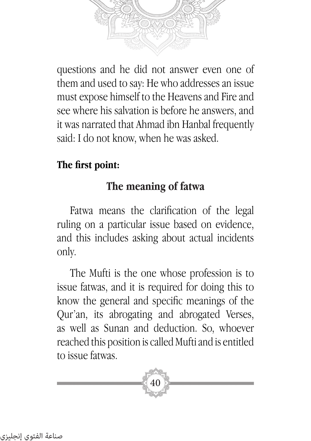questions and he did not answer even one of them and used to say: He who addresses an issue must expose himself to the Heavens and Fire and see where his salvation is before he answers, and it was narrated that Ahmad ibn Hanbal frequently said: I do not know, when he was asked.

## **The first point:**

## **The meaning of fatwa**

Fatwa means the clarification of the legal ruling on a particular issue based on evidence, and this includes asking about actual incidents only.

The Mufti is the one whose profession is to issue fatwas, and it is required for doing this to know the general and specific meanings of the Qur'an, its abrogating and abrogated Verses, as well as Sunan and deduction. So, whoever reached this position is called Mufti and is entitled to issue fatwas.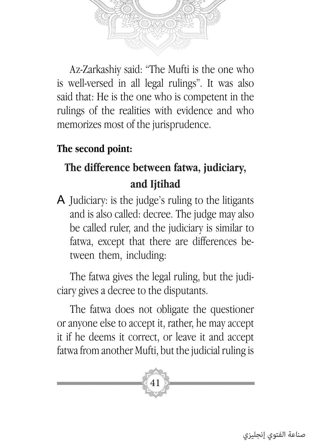

Az-Zarkashiy said: "The Mufti is the one who is well-versed in all legal rulings". It was also said that: He is the one who is competent in the rulings of the realities with evidence and who memorizes most of the jurisprudence.

#### **The second point:**

# **The difference between fatwa, judiciary, and Ijtihad**

A Judiciary: is the judge's ruling to the litigants and is also called: decree. The judge may also be called ruler, and the judiciary is similar to fatwa, except that there are differences between them, including:

The fatwa gives the legal ruling, but the judiciary gives a decree to the disputants.

The fatwa does not obligate the questioner or anyone else to accept it, rather, he may accept it if he deems it correct, or leave it and accept fatwa from another Mufti, but the judicial ruling is

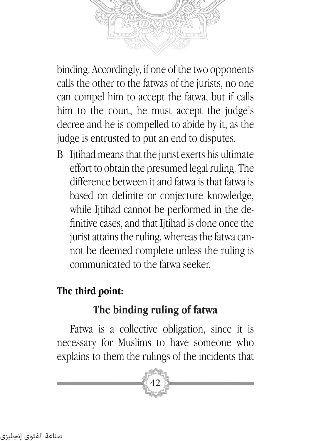

binding. Accordingly, if one of the two opponents calls the other to the fatwas of the jurists, no one can compel him to accept the fatwa, but if calls him to the court, he must accept the judge's decree and he is compelled to abide by it, as the judge is entrusted to put an end to disputes.

B Ijtihad means that the jurist exerts his ultimate effort to obtain the presumed legal ruling. The difference between it and fatwa is that fatwa is based on definite or conjecture knowledge, while Ijtihad cannot be performed in the definitive cases, and that Ijtihad is done once the jurist attains the ruling, whereas the fatwa cannot be deemed complete unless the ruling is communicated to the fatwa seeker.

## **The third point:**

## **The binding ruling of fatwa**

Fatwa is a collective obligation, since it is necessary for Muslims to have someone who explains to them the rulings of the incidents that

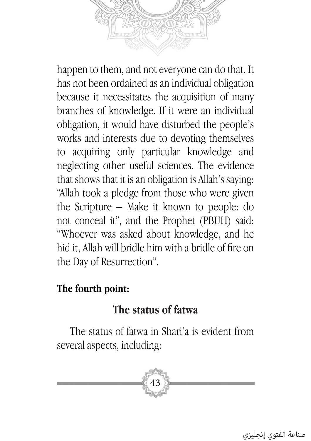happen to them, and not everyone can do that. It has not been ordained as an individual obligation because it necessitates the acquisition of many branches of knowledge. If it were an individual obligation, it would have disturbed the people's works and interests due to devoting themselves to acquiring only particular knowledge and neglecting other useful sciences. The evidence that shows that it is an obligation is Allah's saying: "Allah took a pledge from those who were given the Scripture – Make it known to people: do not conceal it", and the Prophet (PBUH) said: "Whoever was asked about knowledge, and he hid it, Allah will bridle him with a bridle of fire on the Day of Resurrection".

#### **The fourth point:**

#### **The status of fatwa**

The status of fatwa in Shari'a is evident from several aspects, including:

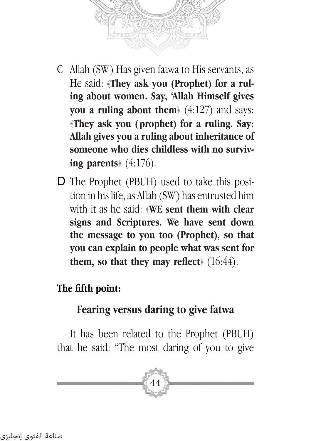

- C Allah (SW ) Has given fatwa to His servants, as He said: ﴿**They ask you (Prophet) for a ruling about women. Say, 'Allah Himself gives you a ruling about them** $(4:127)$  and says: ﴿**They ask you (prophet) for a ruling. Say: Allah gives you a ruling about inheritance of someone who dies childless with no surviving parents**﴾ (4:176).
- D The Prophet (PBUH) used to take this position in his life, as Allah (SW ) has entrusted him with it as he said: ﴿**WE sent them with clear signs and Scriptures. We have sent down the message to you too (Prophet), so that you can explain to people what was sent for them, so that they may reflect**﴾ (16:44).

#### **The fifth point:**

## **Fearing versus daring to give fatwa**

It has been related to the Prophet (PBUH) that he said: "The most daring of you to give

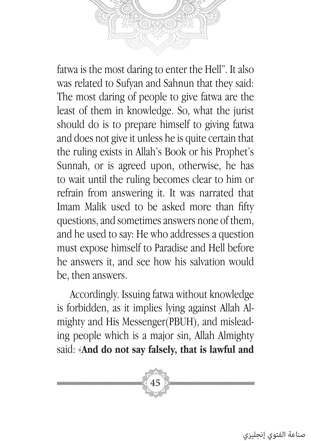fatwa is the most daring to enter the Hell". It also was related to Sufyan and Sahnun that they said: The most daring of people to give fatwa are the least of them in knowledge. So, what the jurist should do is to prepare himself to giving fatwa and does not give it unless he is quite certain that the ruling exists in Allah's Book or his Prophet's Sunnah, or is agreed upon, otherwise, he has to wait until the ruling becomes clear to him or refrain from answering it. It was narrated that Imam Malik used to be asked more than fifty questions, and sometimes answers none of them, and he used to say: He who addresses a question

must expose himself to Paradise and Hell before he answers it, and see how his salvation would be, then answers.

Accordingly. Issuing fatwa without knowledge is forbidden, as it implies lying against Allah Almighty and His Messenger(PBUH), and misleading people which is a major sin, Allah Almighty said: ﴿**And do not say falsely, that is lawful and** 

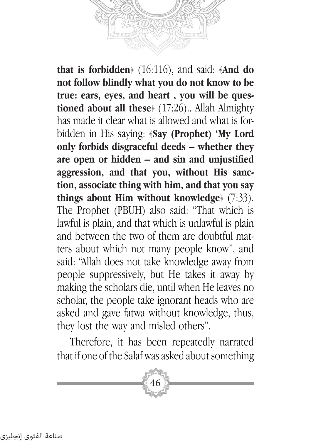

**that is forbidden**﴾ (16:116), and said: ﴿**And do not follow blindly what you do not know to be true: ears, eyes, and heart , you will be questioned about all these**﴾ (17:26).. Allah Almighty has made it clear what is allowed and what is forbidden in His saying: ﴿**Say (Prophet) 'My Lord only forbids disgraceful deeds – whether they are open or hidden – and sin and unjustified aggression, and that you, without His sanction, associate thing with him, and that you say things about Him without knowledge**﴾ (7:33). The Prophet (PBUH) also said: "That which is lawful is plain, and that which is unlawful is plain and between the two of them are doubtful matters about which not many people know", and said: "Allah does not take knowledge away from people suppressively, but He takes it away by making the scholars die, until when He leaves no scholar, the people take ignorant heads who are asked and gave fatwa without knowledge, thus, they lost the way and misled others".

Therefore, it has been repeatedly narrated that if one of the Salaf was asked about something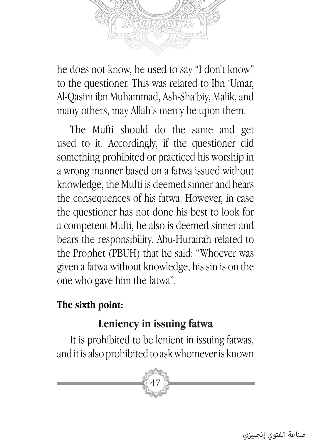

he does not know, he used to say "I don't know" to the questioner. This was related to Ibn 'Umar, Al-Qasim ibn Muhammad, Ash-Sha'biy, Malik, and many others, may Allah's mercy be upon them.

The Mufti should do the same and get used to it. Accordingly, if the questioner did something prohibited or practiced his worship in a wrong manner based on a fatwa issued without knowledge, the Mufti is deemed sinner and bears the consequences of his fatwa. However, in case the questioner has not done his best to look for a competent Mufti, he also is deemed sinner and bears the responsibility. Abu-Hurairah related to the Prophet (PBUH) that he said: "Whoever was given a fatwa without knowledge, his sin is on the one who gave him the fatwa".

#### **The sixth point:**

## **Leniency in issuing fatwa**

It is prohibited to be lenient in issuing fatwas, and it is also prohibited to ask whomever is known



صناعة الفتوي إنجليزي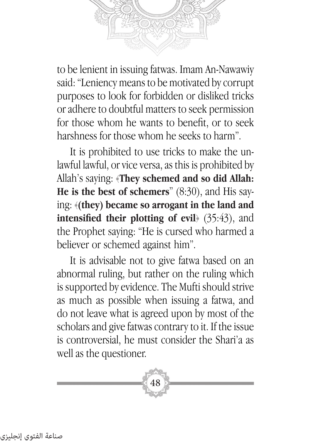

to be lenient in issuing fatwas. Imam An-Nawawiy said: "Leniency means to be motivated by corrupt purposes to look for forbidden or disliked tricks or adhere to doubtful matters to seek permission for those whom he wants to benefit, or to seek harshness for those whom he seeks to harm".

It is prohibited to use tricks to make the unlawful lawful, or vice versa, as this is prohibited by Allah's saying: ﴿**They schemed and so did Allah: He is the best of schemers**" (8:30), and His saying: ﴿**(they) became so arrogant in the land and intensified their plotting of evil**﴾ (35:43), and the Prophet saying: "He is cursed who harmed a believer or schemed against him".

It is advisable not to give fatwa based on an abnormal ruling, but rather on the ruling which is supported by evidence. The Mufti should strive as much as possible when issuing a fatwa, and do not leave what is agreed upon by most of the scholars and give fatwas contrary to it. If the issue is controversial, he must consider the Shari'a as well as the questioner.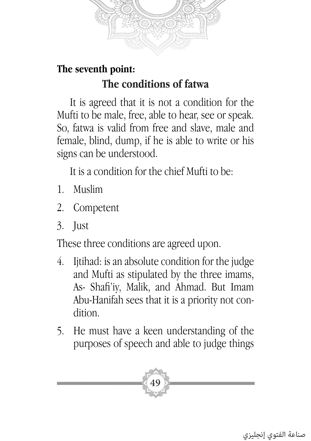

## **The seventh point: The conditions of fatwa**

It is agreed that it is not a condition for the Mufti to be male, free, able to hear, see or speak. So, fatwa is valid from free and slave, male and female, blind, dump, if he is able to write or his signs can be understood.

It is a condition for the chief Mufti to be:

- 1. Muslim
- 2. Competent
- 3. Just

These three conditions are agreed upon.

- 4. Ijtihad: is an absolute condition for the judge and Mufti as stipulated by the three imams, As- Shafi'iy, Malik, and Ahmad. But Imam Abu-Hanifah sees that it is a priority not condition.
- 5. He must have a keen understanding of the purposes of speech and able to judge things

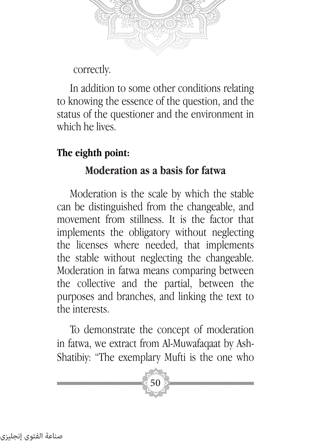

correctly.

In addition to some other conditions relating to knowing the essence of the question, and the status of the questioner and the environment in which he lives.

## **The eighth point:**

#### **Moderation as a basis for fatwa**

Moderation is the scale by which the stable can be distinguished from the changeable, and movement from stillness. It is the factor that implements the obligatory without neglecting the licenses where needed, that implements the stable without neglecting the changeable. Moderation in fatwa means comparing between the collective and the partial, between the purposes and branches, and linking the text to the interests.

To demonstrate the concept of moderation in fatwa, we extract from Al-Muwafaqaat by Ash-Shatibiy: "The exemplary Mufti is the one who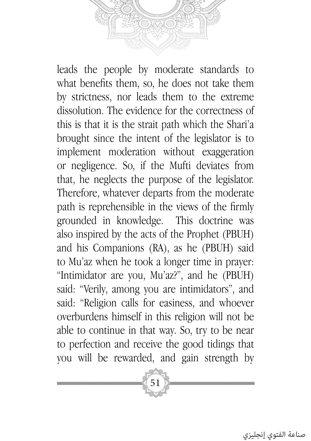leads the people by moderate standards to what benefits them, so, he does not take them by strictness, nor leads them to the extreme dissolution. The evidence for the correctness of this is that it is the strait path which the Shari'a brought since the intent of the legislator is to implement moderation without exaggeration or negligence. So, if the Mufti deviates from that, he neglects the purpose of the legislator. Therefore, whatever departs from the moderate path is reprehensible in the views of the firmly grounded in knowledge. This doctrine was also inspired by the acts of the Prophet (PBUH) and his Companions (RA), as he (PBUH) said to Mu'az when he took a longer time in prayer: "Intimidator are you, Mu'az?", and he (PBUH) said: "Verily, among you are intimidators", and said: "Religion calls for easiness, and whoever overburdens himself in this religion will not be able to continue in that way. So, try to be near to perfection and receive the good tidings that you will be rewarded, and gain strength by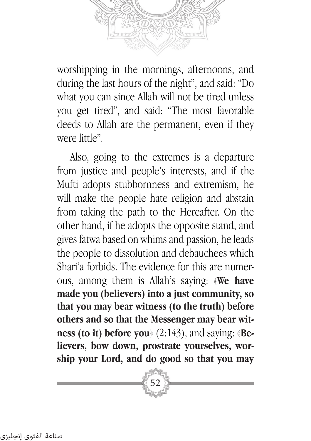worshipping in the mornings, afternoons, and during the last hours of the night", and said: "Do what you can since Allah will not be tired unless you get tired", and said: "The most favorable deeds to Allah are the permanent, even if they were little".

Also, going to the extremes is a departure from justice and people's interests, and if the Mufti adopts stubbornness and extremism, he will make the people hate religion and abstain from taking the path to the Hereafter. On the other hand, if he adopts the opposite stand, and gives fatwa based on whims and passion, he leads the people to dissolution and debauchees which Shari'a forbids. The evidence for this are numerous, among them is Allah's saying: ﴿**We have made you (believers) into a just community, so that you may bear witness (to the truth) before others and so that the Messenger may bear witness (to it) before you**﴾ (2:143), and saying: ﴿**Believers, bow down, prostrate yourselves, worship your Lord, and do good so that you may**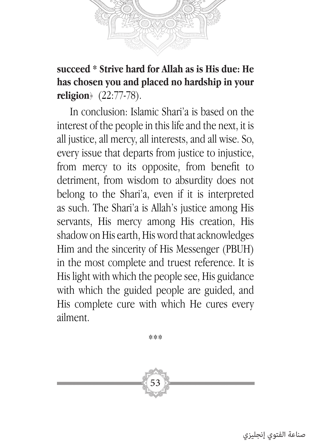

**succeed \* Strive hard for Allah as is His due: He has chosen you and placed no hardship in your religion**﴾ (22:77-78).

In conclusion: Islamic Shari'a is based on the interest of the people in this life and the next, it is all justice, all mercy, all interests, and all wise. So, every issue that departs from justice to injustice, from mercy to its opposite, from benefit to detriment, from wisdom to absurdity does not belong to the Shari'a, even if it is interpreted as such. The Shari'a is Allah's justice among His servants, His mercy among His creation, His shadow on His earth, His word that acknowledges Him and the sincerity of His Messenger (PBUH) in the most complete and truest reference. It is His light with which the people see, His guidance with which the guided people are guided, and His complete cure with which He cures every ailment.

\*\*\*

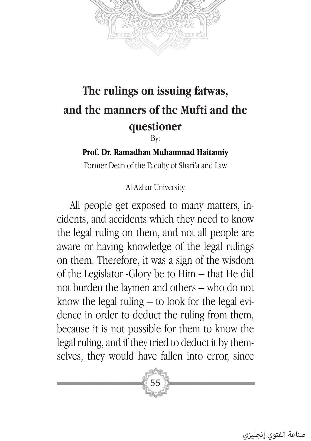

# **The rulings on issuing fatwas, and the manners of the Mufti and the questioner**

By:

#### **Prof. Dr. Ramadhan Muhammad Haitamiy**

Former Dean of the Faculty of Shari'a and Law

Al-Azhar University

All people get exposed to many matters, incidents, and accidents which they need to know the legal ruling on them, and not all people are aware or having knowledge of the legal rulings on them. Therefore, it was a sign of the wisdom of the Legislator -Glory be to Him – that He did not burden the laymen and others – who do not know the legal ruling – to look for the legal evidence in order to deduct the ruling from them, because it is not possible for them to know the legal ruling, and if they tried to deduct it by themselves, they would have fallen into error, since



صناعة الفتوي إنجليزي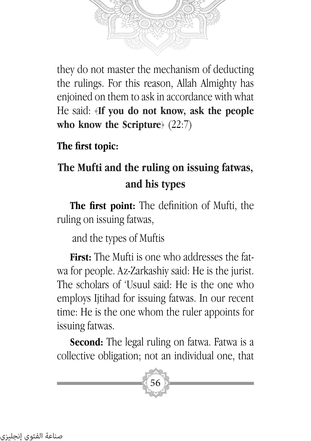

they do not master the mechanism of deducting the rulings. For this reason, Allah Almighty has enjoined on them to ask in accordance with what He said: ﴿**If you do not know, ask the people who know the Scripture**﴾ (22:7)

**The first topic:**

# **The Mufti and the ruling on issuing fatwas, and his types**

**The first point:** The definition of Mufti, the ruling on issuing fatwas,

and the types of Muftis

**First:** The Mufti is one who addresses the fatwa for people. Az-Zarkashiy said: He is the jurist. The scholars of 'Usuul said: He is the one who employs Ijtihad for issuing fatwas. In our recent time: He is the one whom the ruler appoints for issuing fatwas.

**Second:** The legal ruling on fatwa. Fatwa is a collective obligation; not an individual one, that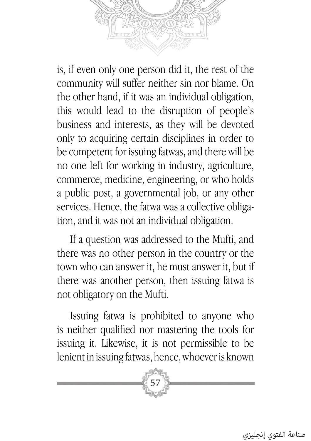is, if even only one person did it, the rest of the community will suffer neither sin nor blame. On the other hand, if it was an individual obligation, this would lead to the disruption of people's business and interests, as they will be devoted only to acquiring certain disciplines in order to be competent for issuing fatwas, and there will be no one left for working in industry, agriculture, commerce, medicine, engineering, or who holds

a public post, a governmental job, or any other services. Hence, the fatwa was a collective obligation, and it was not an individual obligation.

If a question was addressed to the Mufti, and there was no other person in the country or the town who can answer it, he must answer it, but if there was another person, then issuing fatwa is not obligatory on the Mufti.

Issuing fatwa is prohibited to anyone who is neither qualified nor mastering the tools for issuing it. Likewise, it is not permissible to be lenient in issuing fatwas, hence, whoever is known

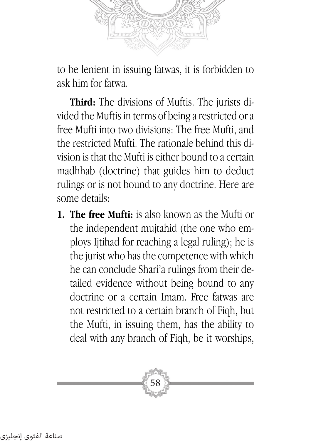

to be lenient in issuing fatwas, it is forbidden to ask him for fatwa.

**Third:** The divisions of Muftis. The jurists divided the Muftis in terms of being a restricted or a free Mufti into two divisions: The free Mufti, and the restricted Mufti. The rationale behind this division is that the Mufti is either bound to a certain madhhab (doctrine) that guides him to deduct rulings or is not bound to any doctrine. Here are some details:

**1. The free Mufti:** is also known as the Mufti or the independent mujtahid (the one who employs Ijtihad for reaching a legal ruling); he is the jurist who has the competence with which he can conclude Shari'a rulings from their detailed evidence without being bound to any doctrine or a certain Imam. Free fatwas are not restricted to a certain branch of Fiqh, but the Mufti, in issuing them, has the ability to deal with any branch of Fiqh, be it worships,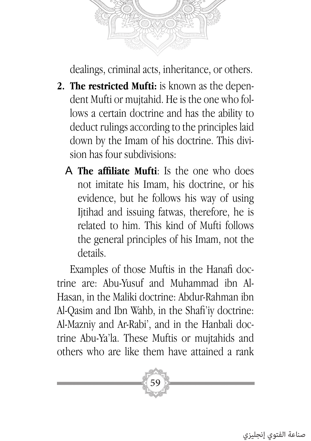

dealings, criminal acts, inheritance, or others.

- **2. The restricted Mufti:** is known as the dependent Mufti or mujtahid. He is the one who follows a certain doctrine and has the ability to deduct rulings according to the principles laid down by the Imam of his doctrine. This division has four subdivisions:
	- A **The affiliate Mufti**: Is the one who does not imitate his Imam, his doctrine, or his evidence, but he follows his way of using Iitihad and issuing fatwas, therefore, he is related to him. This kind of Mufti follows the general principles of his Imam, not the details.

Examples of those Muftis in the Hanafi doctrine are: Abu-Yusuf and Muhammad ibn Al-Hasan, in the Maliki doctrine: Abdur-Rahman ibn Al-Qasim and Ibn Wahb, in the Shafi'iy doctrine: Al-Mazniy and Ar-Rabi', and in the Hanbali doctrine Abu-Ya'la. These Muftis or mujtahids and others who are like them have attained a rank

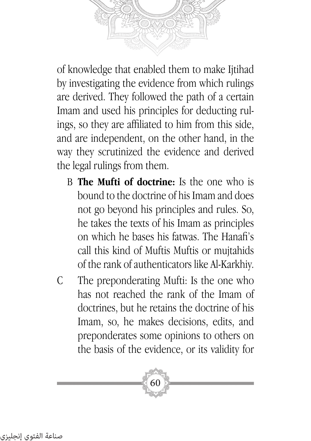of knowledge that enabled them to make Ijtihad by investigating the evidence from which rulings are derived. They followed the path of a certain Imam and used his principles for deducting rulings, so they are affiliated to him from this side, and are independent, on the other hand, in the way they scrutinized the evidence and derived

the legal rulings from them.

- B **The Mufti of doctrine:** Is the one who is bound to the doctrine of his Imam and does not go beyond his principles and rules. So, he takes the texts of his Imam as principles on which he bases his fatwas. The Hanafi's call this kind of Muftis Muftis or mujtahids of the rank of authenticators like Al-Karkhiy.
- C The preponderating Mufti: Is the one who has not reached the rank of the Imam of doctrines, but he retains the doctrine of his Imam, so, he makes decisions, edits, and preponderates some opinions to others on the basis of the evidence, or its validity for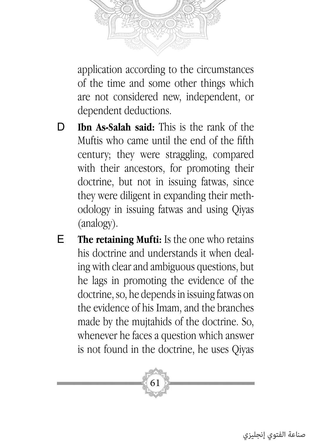

application according to the circumstances of the time and some other things which are not considered new, independent, or dependent deductions.

- D **Ibn As-Salah said:** This is the rank of the Muftis who came until the end of the fifth century; they were straggling, compared with their ancestors, for promoting their doctrine, but not in issuing fatwas, since they were diligent in expanding their methodology in issuing fatwas and using Qiyas (analogy).
- E **The retaining Mufti:** Is the one who retains his doctrine and understands it when dealing with clear and ambiguous questions, but he lags in promoting the evidence of the doctrine, so, he depends in issuing fatwas on the evidence of his Imam, and the branches made by the mujtahids of the doctrine. So, whenever he faces a question which answer is not found in the doctrine, he uses Qiyas

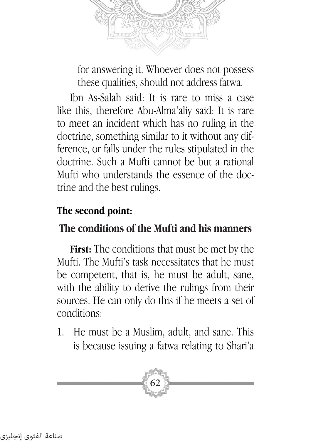

for answering it. Whoever does not possess these qualities, should not address fatwa.

Ibn As-Salah said: It is rare to miss a case like this, therefore Abu-Alma'aliy said: It is rare to meet an incident which has no ruling in the doctrine, something similar to it without any difference, or falls under the rules stipulated in the doctrine. Such a Mufti cannot be but a rational Mufti who understands the essence of the doctrine and the best rulings.

#### **The second point:**

## **The conditions of the Mufti and his manners**

**First:** The conditions that must be met by the Mufti. The Mufti's task necessitates that he must be competent, that is, he must be adult, sane, with the ability to derive the rulings from their sources. He can only do this if he meets a set of conditions:

1. He must be a Muslim, adult, and sane. This is because issuing a fatwa relating to Shari'a

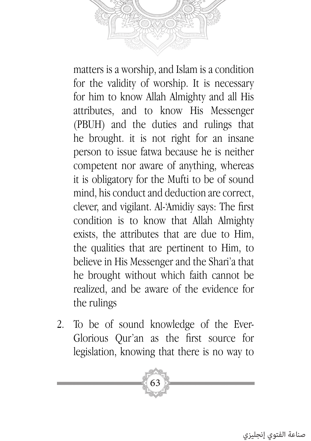

matters is a worship, and Islam is a condition for the validity of worship. It is necessary for him to know Allah Almighty and all His attributes, and to know His Messenger (PBUH) and the duties and rulings that he brought. it is not right for an insane person to issue fatwa because he is neither competent nor aware of anything, whereas it is obligatory for the Mufti to be of sound mind, his conduct and deduction are correct, clever, and vigilant. Al-'Amidiy says: The first condition is to know that Allah Almighty exists, the attributes that are due to Him, the qualities that are pertinent to Him, to believe in His Messenger and the Shari'a that he brought without which faith cannot be realized, and be aware of the evidence for the rulings

2. To be of sound knowledge of the Ever-Glorious Qur'an as the first source for legislation, knowing that there is no way to

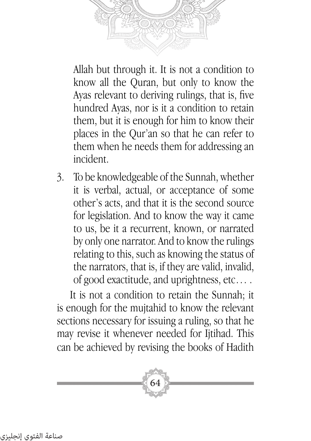

Allah but through it. It is not a condition to know all the Quran, but only to know the Ayas relevant to deriving rulings, that is, five hundred Ayas, nor is it a condition to retain them, but it is enough for him to know their places in the Qur'an so that he can refer to them when he needs them for addressing an incident.

3. To be knowledgeable of the Sunnah, whether it is verbal, actual, or acceptance of some other's acts, and that it is the second source for legislation. And to know the way it came to us, be it a recurrent, known, or narrated by only one narrator. And to know the rulings relating to this, such as knowing the status of the narrators, that is, if they are valid, invalid, of good exactitude, and uprightness, etc… .

It is not a condition to retain the Sunnah; it is enough for the mujtahid to know the relevant sections necessary for issuing a ruling, so that he may revise it whenever needed for Ijtihad. This can be achieved by revising the books of Hadith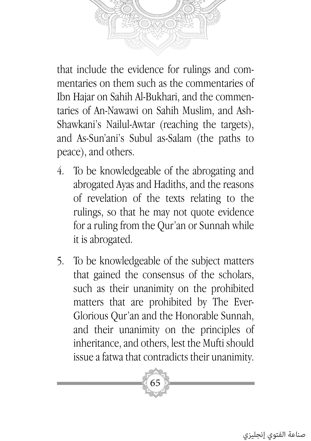that include the evidence for rulings and commentaries on them such as the commentaries of Ibn Hajar on Sahih Al-Bukhari, and the commentaries of An-Nawawi on Sahih Muslim, and Ash-Shawkani's Nailul-Awtar (reaching the targets), and As-Sun'ani's Subul as-Salam (the paths to peace), and others.

- 4. To be knowledgeable of the abrogating and abrogated Ayas and Hadiths, and the reasons of revelation of the texts relating to the rulings, so that he may not quote evidence for a ruling from the Qur'an or Sunnah while it is abrogated.
- 5. To be knowledgeable of the subject matters that gained the consensus of the scholars, such as their unanimity on the prohibited matters that are prohibited by The Ever-Glorious Qur'an and the Honorable Sunnah, and their unanimity on the principles of inheritance, and others, lest the Mufti should issue a fatwa that contradicts their unanimity.

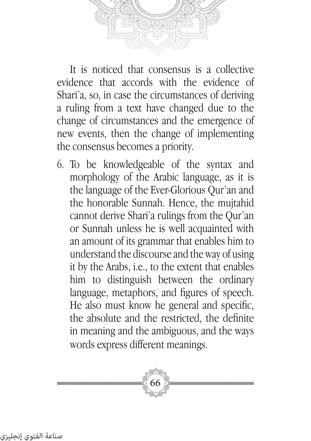

It is noticed that consensus is a collective evidence that accords with the evidence of Shari'a, so, in case the circumstances of deriving a ruling from a text have changed due to the change of circumstances and the emergence of new events, then the change of implementing the consensus becomes a priority.

6. To be knowledgeable of the syntax and morphology of the Arabic language, as it is the language of the Ever-Glorious Qur'an and the honorable Sunnah. Hence, the mujtahid cannot derive Shari'a rulings from the Qur'an or Sunnah unless he is well acquainted with an amount of its grammar that enables him to understand the discourse and the way of using it by the Arabs, i.e., to the extent that enables him to distinguish between the ordinary language, metaphors, and figures of speech. He also must know he general and specific, the absolute and the restricted, the definite in meaning and the ambiguous, and the ways words express different meanings.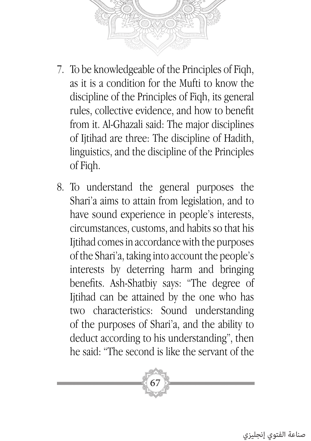

- 7. To be knowledgeable of the Principles of Fiqh, as it is a condition for the Mufti to know the discipline of the Principles of Fiqh, its general rules, collective evidence, and how to benefit from it. Al-Ghazali said: The major disciplines of Ijtihad are three: The discipline of Hadith, linguistics, and the discipline of the Principles of Fiqh.
- 8. To understand the general purposes the Shari'a aims to attain from legislation, and to have sound experience in people's interests, circumstances, customs, and habits so that his Ijtihad comes in accordance with the purposes of the Shari'a, taking into account the people's interests by deterring harm and bringing benefits. Ash-Shatbiy says: "The degree of Ijtihad can be attained by the one who has two characteristics: Sound understanding of the purposes of Shari'a, and the ability to deduct according to his understanding", then he said: "The second is like the servant of the

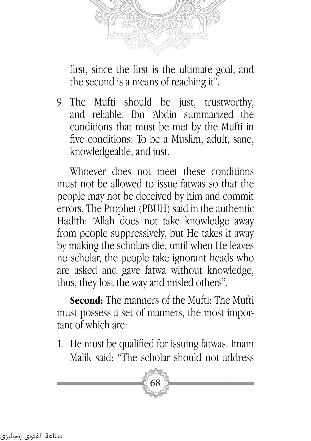

first, since the first is the ultimate goal, and the second is a means of reaching it".

9. The Mufti should be just, trustworthy, and reliable. Ibn 'Abdin summarized the conditions that must be met by the Mufti in five conditions: To be a Muslim, adult, sane, knowledgeable, and just.

Whoever does not meet these conditions must not be allowed to issue fatwas so that the people may not be deceived by him and commit errors. The Prophet (PBUH) said in the authentic Hadith: "Allah does not take knowledge away from people suppressively, but He takes it away by making the scholars die, until when He leaves no scholar, the people take ignorant heads who are asked and gave fatwa without knowledge, thus, they lost the way and misled others".

**Second:** The manners of the Mufti: The Mufti must possess a set of manners, the most important of which are:

1. He must be qualified for issuing fatwas. Imam Malik said: "The scholar should not address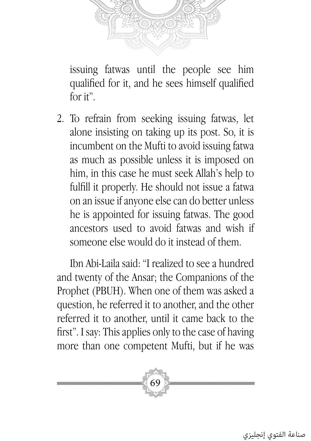

issuing fatwas until the people see him qualified for it, and he sees himself qualified for it".

2. To refrain from seeking issuing fatwas, let alone insisting on taking up its post. So, it is incumbent on the Mufti to avoid issuing fatwa as much as possible unless it is imposed on him, in this case he must seek Allah's help to fulfill it properly. He should not issue a fatwa on an issue if anyone else can do better unless he is appointed for issuing fatwas. The good ancestors used to avoid fatwas and wish if someone else would do it instead of them.

Ibn Abi-Laila said: "I realized to see a hundred and twenty of the Ansar; the Companions of the Prophet (PBUH). When one of them was asked a question, he referred it to another, and the other referred it to another, until it came back to the first". I say: This applies only to the case of having more than one competent Mufti, but if he was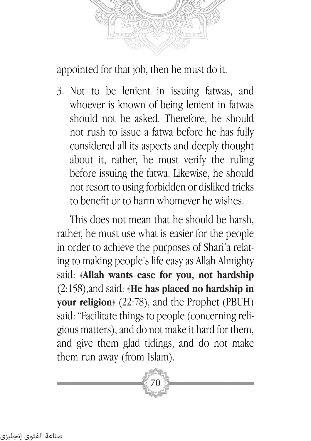

appointed for that job, then he must do it.

3. Not to be lenient in issuing fatwas, and whoever is known of being lenient in fatwas should not be asked. Therefore, he should not rush to issue a fatwa before he has fully considered all its aspects and deeply thought about it, rather, he must verify the ruling before issuing the fatwa. Likewise, he should not resort to using forbidden or disliked tricks to benefit or to harm whomever he wishes.

This does not mean that he should be harsh, rather, he must use what is easier for the people in order to achieve the purposes of Shari'a relating to making people's life easy as Allah Almighty said: ﴿**Allah wants ease for you, not hardship**  (2:158),and said: ﴿**He has placed no hardship in your religion**﴾ (22:78), and the Prophet (PBUH) said: "Facilitate things to people (concerning religious matters), and do not make it hard for them, and give them glad tidings, and do not make them run away (from Islam).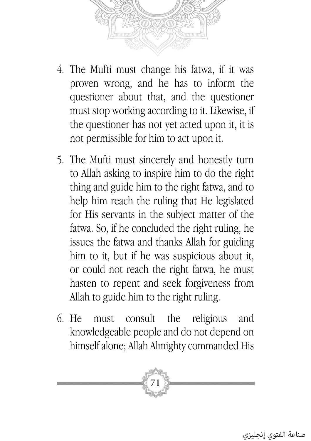

- 4. The Mufti must change his fatwa, if it was proven wrong, and he has to inform the questioner about that, and the questioner must stop working according to it. Likewise, if the questioner has not yet acted upon it, it is not permissible for him to act upon it.
- 5. The Mufti must sincerely and honestly turn to Allah asking to inspire him to do the right thing and guide him to the right fatwa, and to help him reach the ruling that He legislated for His servants in the subject matter of the fatwa. So, if he concluded the right ruling, he issues the fatwa and thanks Allah for guiding him to it, but if he was suspicious about it, or could not reach the right fatwa, he must hasten to repent and seek forgiveness from Allah to guide him to the right ruling.
- 6. He must consult the religious and knowledgeable people and do not depend on himself alone; Allah Almighty commanded His

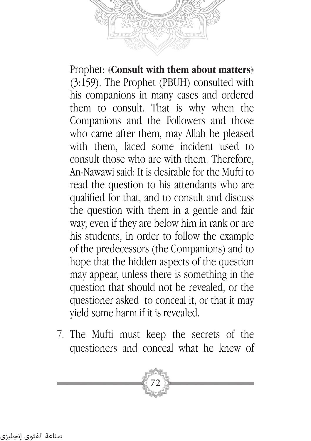

Prophet: ﴿**Consult with them about matters**﴾ (3:159). The Prophet (PBUH) consulted with his companions in many cases and ordered them to consult. That is why when the Companions and the Followers and those who came after them, may Allah be pleased with them, faced some incident used to consult those who are with them. Therefore, An-Nawawi said: It is desirable for the Mufti to read the question to his attendants who are qualified for that, and to consult and discuss the question with them in a gentle and fair way, even if they are below him in rank or are his students, in order to follow the example of the predecessors (the Companions) and to hope that the hidden aspects of the question may appear, unless there is something in the question that should not be revealed, or the questioner asked to conceal it, or that it may yield some harm if it is revealed.

7. The Mufti must keep the secrets of the questioners and conceal what he knew of

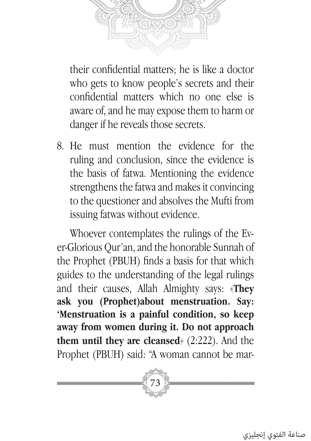

their confidential matters; he is like a doctor who gets to know people's secrets and their confidential matters which no one else is aware of, and he may expose them to harm or danger if he reveals those secrets.

8. He must mention the evidence for the ruling and conclusion, since the evidence is the basis of fatwa. Mentioning the evidence strengthens the fatwa and makes it convincing to the questioner and absolves the Mufti from issuing fatwas without evidence.

Whoever contemplates the rulings of the Ever-Glorious Qur'an, and the honorable Sunnah of the Prophet (PBUH) finds a basis for that which guides to the understanding of the legal rulings and their causes, Allah Almighty says: ﴿**They ask you (Prophet)about menstruation. Say: 'Menstruation is a painful condition, so keep away from women during it. Do not approach them until they are cleansed**﴾ (2:222). And the Prophet (PBUH) said: "A woman cannot be mar-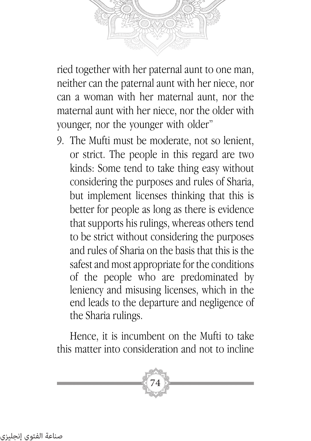ried together with her paternal aunt to one man, neither can the paternal aunt with her niece, nor can a woman with her maternal aunt, nor the maternal aunt with her niece, nor the older with younger, nor the younger with older"

9. The Mufti must be moderate, not so lenient, or strict. The people in this regard are two kinds: Some tend to take thing easy without considering the purposes and rules of Sharia, but implement licenses thinking that this is better for people as long as there is evidence that supports his rulings, whereas others tend to be strict without considering the purposes and rules of Sharia on the basis that this is the safest and most appropriate for the conditions of the people who are predominated by leniency and misusing licenses, which in the end leads to the departure and negligence of the Sharia rulings.

Hence, it is incumbent on the Mufti to take this matter into consideration and not to incline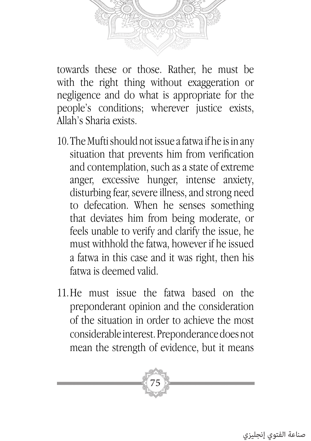

towards these or those. Rather, he must be with the right thing without exaggeration or negligence and do what is appropriate for the people's conditions; wherever justice exists, Allah's Sharia exists.

- 10.The Mufti should not issue a fatwa if he is in any situation that prevents him from verification and contemplation, such as a state of extreme anger, excessive hunger, intense anxiety, disturbing fear, severe illness, and strong need to defecation. When he senses something that deviates him from being moderate, or feels unable to verify and clarify the issue, he must withhold the fatwa, however if he issued a fatwa in this case and it was right, then his fatwa is deemed valid.
- 11.He must issue the fatwa based on the preponderant opinion and the consideration of the situation in order to achieve the most considerable interest. Preponderance does not mean the strength of evidence, but it means

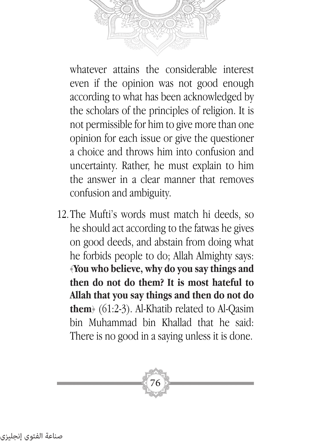

whatever attains the considerable interest even if the opinion was not good enough according to what has been acknowledged by the scholars of the principles of religion. It is not permissible for him to give more than one opinion for each issue or give the questioner a choice and throws him into confusion and uncertainty. Rather, he must explain to him the answer in a clear manner that removes confusion and ambiguity.

12.The Mufti's words must match hi deeds, so he should act according to the fatwas he gives on good deeds, and abstain from doing what he forbids people to do; Allah Almighty says: ﴿**You who believe, why do you say things and then do not do them? It is most hateful to Allah that you say things and then do not do them**﴾ (61:2-3). Al-Khatib related to Al-Qasim bin Muhammad bin Khallad that he said: There is no good in a saying unless it is done.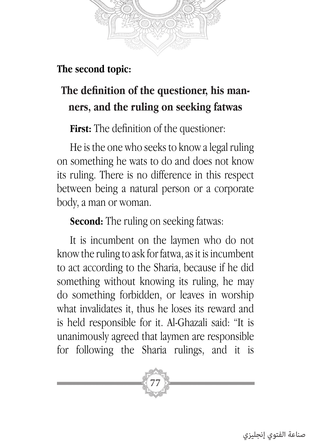

#### **The second topic:**

# **The definition of the questioner, his manners, and the ruling on seeking fatwas**

**First:** The definition of the questioner:

He is the one who seeks to know a legal ruling on something he wats to do and does not know its ruling. There is no difference in this respect between being a natural person or a corporate body, a man or woman.

**Second:** The ruling on seeking fatwas:

It is incumbent on the laymen who do not know the ruling to ask for fatwa, as it is incumbent to act according to the Sharia, because if he did something without knowing its ruling, he may do something forbidden, or leaves in worship what invalidates it, thus he loses its reward and is held responsible for it. Al-Ghazali said: "It is unanimously agreed that laymen are responsible for following the Sharia rulings, and it is

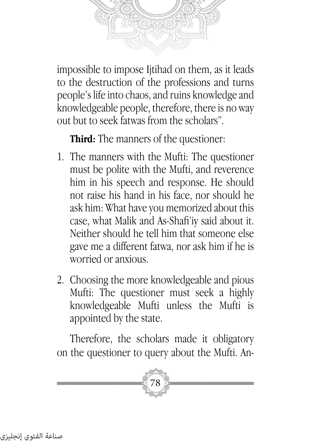

impossible to impose Ijtihad on them, as it leads to the destruction of the professions and turns people's life into chaos, and ruins knowledge and knowledgeable people, therefore, there is no way out but to seek fatwas from the scholars".

**Third:** The manners of the questioner:

- 1. The manners with the Mufti: The questioner must be polite with the Mufti, and reverence him in his speech and response. He should not raise his hand in his face, nor should he ask him: What have you memorized about this case, what Malik and As-Shafi'iy said about it. Neither should he tell him that someone else gave me a different fatwa, nor ask him if he is worried or anxious.
- 2. Choosing the more knowledgeable and pious Mufti: The questioner must seek a highly knowledgeable Mufti unless the Mufti is appointed by the state.

Therefore, the scholars made it obligatory on the questioner to query about the Mufti. An-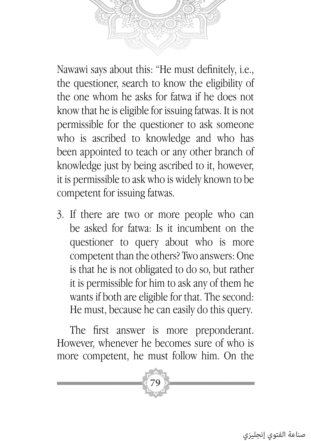

Nawawi says about this: "He must definitely, i.e., the questioner, search to know the eligibility of the one whom he asks for fatwa if he does not know that he is eligible for issuing fatwas. It is not permissible for the questioner to ask someone who is ascribed to knowledge and who has been appointed to teach or any other branch of knowledge just by being ascribed to it, however, it is permissible to ask who is widely known to be competent for issuing fatwas.

3. If there are two or more people who can be asked for fatwa: Is it incumbent on the questioner to query about who is more competent than the others? Two answers: One is that he is not obligated to do so, but rather it is permissible for him to ask any of them he wants if both are eligible for that. The second: He must, because he can easily do this query.

The first answer is more preponderant. However, whenever he becomes sure of who is more competent, he must follow him. On the

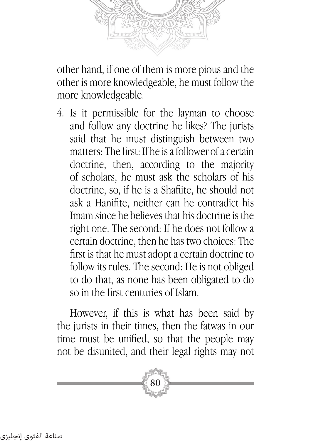

other hand, if one of them is more pious and the other is more knowledgeable, he must follow the more knowledgeable.

4. Is it permissible for the layman to choose and follow any doctrine he likes? The jurists said that he must distinguish between two matters: The first: If he is a follower of a certain doctrine, then, according to the majority of scholars, he must ask the scholars of his doctrine, so, if he is a Shafiite, he should not ask a Hanifite, neither can he contradict his Imam since he believes that his doctrine is the right one. The second: If he does not follow a certain doctrine, then he has two choices: The first is that he must adopt a certain doctrine to follow its rules. The second: He is not obliged to do that, as none has been obligated to do so in the first centuries of Islam.

However, if this is what has been said by the jurists in their times, then the fatwas in our time must be unified, so that the people may not be disunited, and their legal rights may not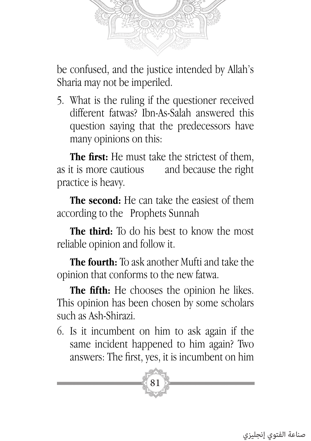

be confused, and the justice intended by Allah's Sharia may not be imperiled.

5. What is the ruling if the questioner received different fatwas? Ibn-As-Salah answered this question saying that the predecessors have many opinions on this:

**The first:** He must take the strictest of them, as it is more cautious and because the right practice is heavy.

**The second:** He can take the easiest of them according to the Prophets Sunnah

**The third:** To do his best to know the most reliable opinion and follow it.

**The fourth:** To ask another Mufti and take the opinion that conforms to the new fatwa.

**The fifth:** He chooses the opinion he likes. This opinion has been chosen by some scholars such as Ash-Shirazi.

6. Is it incumbent on him to ask again if the same incident happened to him again? Two answers: The first, yes, it is incumbent on him

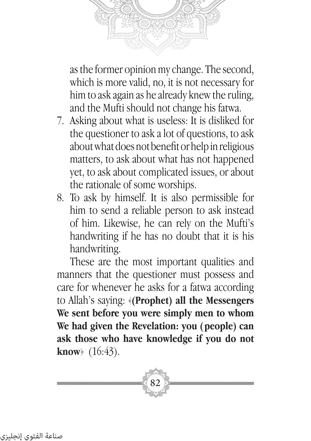

as the former opinion my change. The second, which is more valid, no, it is not necessary for him to ask again as he already knew the ruling, and the Mufti should not change his fatwa.

- 7. Asking about what is useless: It is disliked for the questioner to ask a lot of questions, to ask about what does not benefit or help in religious matters, to ask about what has not happened yet, to ask about complicated issues, or about the rationale of some worships.
- 8. To ask by himself. It is also permissible for him to send a reliable person to ask instead of him. Likewise, he can rely on the Mufti's handwriting if he has no doubt that it is his handwriting.

These are the most important qualities and manners that the questioner must possess and care for whenever he asks for a fatwa according to Allah's saying: ﴿**(Prophet) all the Messengers We sent before you were simply men to whom We had given the Revelation: you (people) can ask those who have knowledge if you do not know**﴾ (16:43).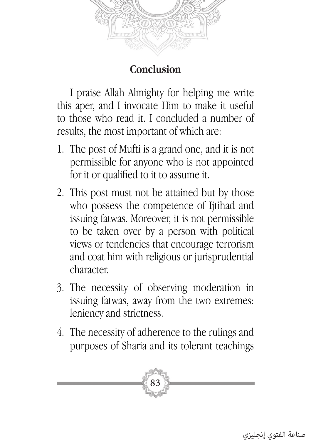

### **Conclusion**

I praise Allah Almighty for helping me write this aper, and I invocate Him to make it useful to those who read it. I concluded a number of results, the most important of which are:

- 1. The post of Mufti is a grand one, and it is not permissible for anyone who is not appointed for it or qualified to it to assume it.
- 2. This post must not be attained but by those who possess the competence of Ijtihad and issuing fatwas. Moreover, it is not permissible to be taken over by a person with political views or tendencies that encourage terrorism and coat him with religious or jurisprudential character.
- 3. The necessity of observing moderation in issuing fatwas, away from the two extremes: leniency and strictness.
- 4. The necessity of adherence to the rulings and purposes of Sharia and its tolerant teachings

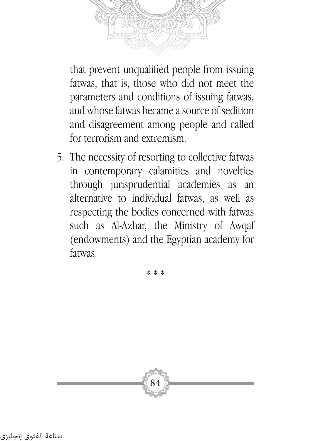

that prevent unqualified people from issuing fatwas, that is, those who did not meet the parameters and conditions of issuing fatwas, and whose fatwas became a source of sedition and disagreement among people and called for terrorism and extremism.

5. The necessity of resorting to collective fatwas in contemporary calamities and novelties through jurisprudential academies as an alternative to individual fatwas, as well as respecting the bodies concerned with fatwas such as Al-Azhar, the Ministry of Awqaf (endowments) and the Egyptian academy for fatwas.

\* \* \*

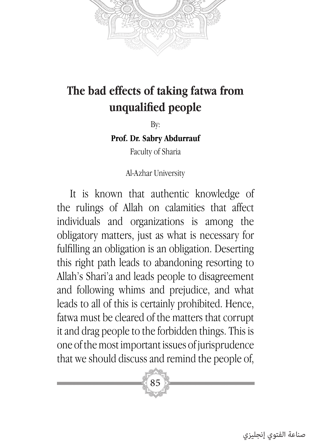

# **The bad effects of taking fatwa from unqualified people**

By:

**Prof. Dr. Sabry Abdurrauf**

Faculty of Sharia

Al-Azhar University

It is known that authentic knowledge of the rulings of Allah on calamities that affect individuals and organizations is among the obligatory matters, just as what is necessary for fulfilling an obligation is an obligation. Deserting this right path leads to abandoning resorting to Allah's Shari'a and leads people to disagreement and following whims and prejudice, and what leads to all of this is certainly prohibited. Hence, fatwa must be cleared of the matters that corrupt it and drag people to the forbidden things. This is one of the most important issues of jurisprudence that we should discuss and remind the people of,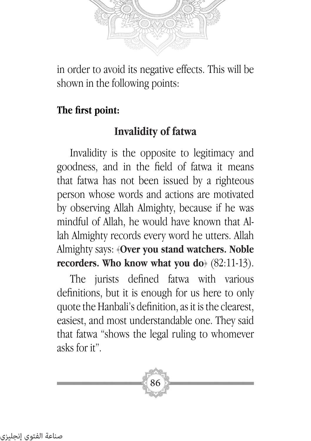

in order to avoid its negative effects. This will be shown in the following points:

#### **The first point:**

#### **Invalidity of fatwa**

Invalidity is the opposite to legitimacy and goodness, and in the field of fatwa it means that fatwa has not been issued by a righteous person whose words and actions are motivated by observing Allah Almighty, because if he was mindful of Allah, he would have known that Allah Almighty records every word he utters. Allah Almighty says: ﴿**Over you stand watchers. Noble recorders. Who know what you do**﴾ (82:11-13).

The jurists defined fatwa with various definitions, but it is enough for us here to only quote the Hanbali's definition, as it is the clearest, easiest, and most understandable one. They said that fatwa "shows the legal ruling to whomever asks for it".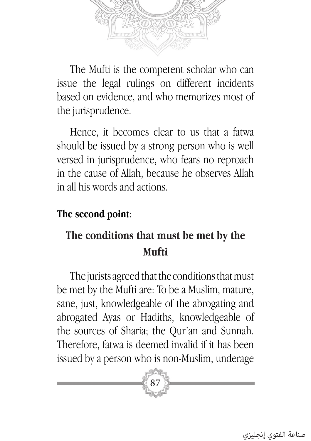

The Mufti is the competent scholar who can issue the legal rulings on different incidents based on evidence, and who memorizes most of the jurisprudence.

Hence, it becomes clear to us that a fatwa should be issued by a strong person who is well versed in jurisprudence, who fears no reproach in the cause of Allah, because he observes Allah in all his words and actions.

#### **The second point**:

## **The conditions that must be met by the Mufti**

The jurists agreed that the conditions that must be met by the Mufti are: To be a Muslim, mature, sane, just, knowledgeable of the abrogating and abrogated Ayas or Hadiths, knowledgeable of the sources of Sharia; the Qur'an and Sunnah. Therefore, fatwa is deemed invalid if it has been issued by a person who is non-Muslim, underage

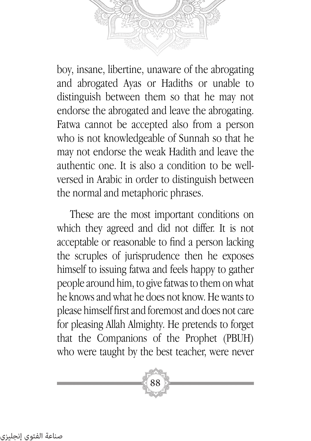

boy, insane, libertine, unaware of the abrogating and abrogated Ayas or Hadiths or unable to distinguish between them so that he may not endorse the abrogated and leave the abrogating. Fatwa cannot be accepted also from a person who is not knowledgeable of Sunnah so that he may not endorse the weak Hadith and leave the authentic one. It is also a condition to be wellversed in Arabic in order to distinguish between the normal and metaphoric phrases.

These are the most important conditions on which they agreed and did not differ. It is not acceptable or reasonable to find a person lacking the scruples of jurisprudence then he exposes himself to issuing fatwa and feels happy to gather people around him, to give fatwas to them on what he knows and what he does not know. He wants to please himself first and foremost and does not care for pleasing Allah Almighty. He pretends to forget that the Companions of the Prophet (PBUH) who were taught by the best teacher, were never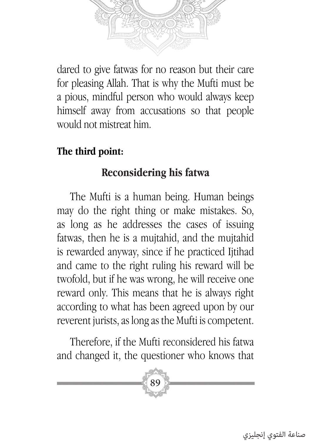

dared to give fatwas for no reason but their care for pleasing Allah. That is why the Mufti must be a pious, mindful person who would always keep himself away from accusations so that people would not mistreat him.

#### **The third point:**

## **Reconsidering his fatwa**

The Mufti is a human being. Human beings may do the right thing or make mistakes. So, as long as he addresses the cases of issuing fatwas, then he is a mujtahid, and the mujtahid is rewarded anyway, since if he practiced Ijtihad and came to the right ruling his reward will be twofold, but if he was wrong, he will receive one reward only. This means that he is always right according to what has been agreed upon by our reverent jurists, as long as the Mufti is competent.

Therefore, if the Mufti reconsidered his fatwa and changed it, the questioner who knows that

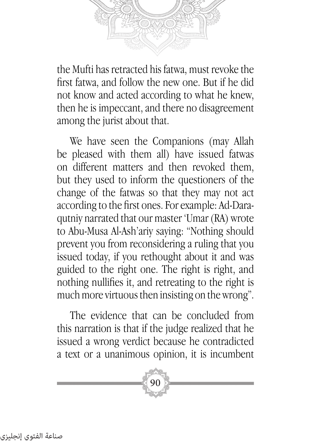

the Mufti has retracted his fatwa, must revoke the first fatwa, and follow the new one. But if he did not know and acted according to what he knew, then he is impeccant, and there no disagreement among the jurist about that.

We have seen the Companions (may Allah be pleased with them all) have issued fatwas on different matters and then revoked them, but they used to inform the questioners of the change of the fatwas so that they may not act according to the first ones. For example: Ad-Daraqutniy narrated that our master 'Umar (RA) wrote to Abu-Musa Al-Ash'ariy saying: "Nothing should prevent you from reconsidering a ruling that you issued today, if you rethought about it and was guided to the right one. The right is right, and nothing nullifies it, and retreating to the right is much more virtuous then insisting on the wrong".

The evidence that can be concluded from this narration is that if the judge realized that he issued a wrong verdict because he contradicted a text or a unanimous opinion, it is incumbent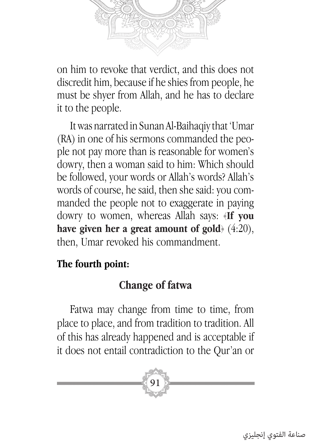

on him to revoke that verdict, and this does not discredit him, because if he shies from people, he must be shyer from Allah, and he has to declare it to the people.

It was narrated in Sunan Al-Baihaqiy that 'Umar (RA) in one of his sermons commanded the people not pay more than is reasonable for women's dowry, then a woman said to him: Which should be followed, your words or Allah's words? Allah's words of course, he said, then she said: you commanded the people not to exaggerate in paying dowry to women, whereas Allah says: ﴿**If you have given her a great amount of gold**﴾ (4:20), then, Umar revoked his commandment.

#### **The fourth point:**

## **Change of fatwa**

Fatwa may change from time to time, from place to place, and from tradition to tradition. All of this has already happened and is acceptable if it does not entail contradiction to the Qur'an or

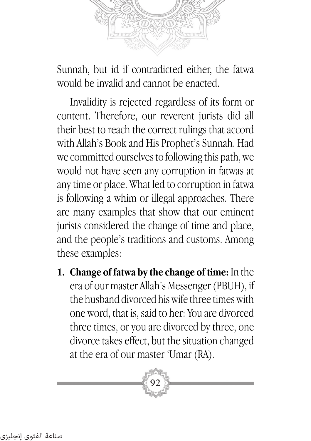

Sunnah, but id if contradicted either, the fatwa would be invalid and cannot be enacted.

Invalidity is rejected regardless of its form or content. Therefore, our reverent jurists did all their best to reach the correct rulings that accord with Allah's Book and His Prophet's Sunnah. Had we committed ourselves to following this path, we would not have seen any corruption in fatwas at any time or place. What led to corruption in fatwa is following a whim or illegal approaches. There are many examples that show that our eminent jurists considered the change of time and place, and the people's traditions and customs. Among these examples:

**1. Change of fatwa by the change of time:** In the era of our master Allah's Messenger (PBUH), if the husband divorced his wife three times with one word, that is, said to her: You are divorced three times, or you are divorced by three, one divorce takes effect, but the situation changed at the era of our master 'Umar (RA).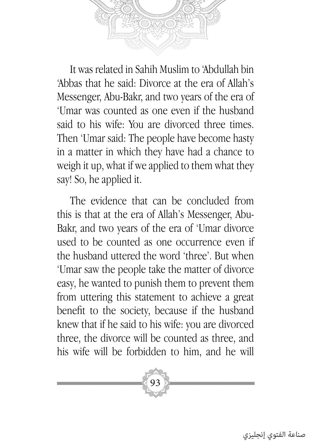

It was related in Sahih Muslim to 'Abdullah bin 'Abbas that he said: Divorce at the era of Allah's Messenger, Abu-Bakr, and two years of the era of 'Umar was counted as one even if the husband said to his wife: You are divorced three times. Then 'Umar said: The people have become hasty in a matter in which they have had a chance to weigh it up, what if we applied to them what they say! So, he applied it.

The evidence that can be concluded from this is that at the era of Allah's Messenger, Abu-Bakr, and two years of the era of 'Umar divorce used to be counted as one occurrence even if the husband uttered the word 'three'. But when 'Umar saw the people take the matter of divorce easy, he wanted to punish them to prevent them from uttering this statement to achieve a great benefit to the society, because if the husband knew that if he said to his wife: you are divorced three, the divorce will be counted as three, and his wife will be forbidden to him, and he will

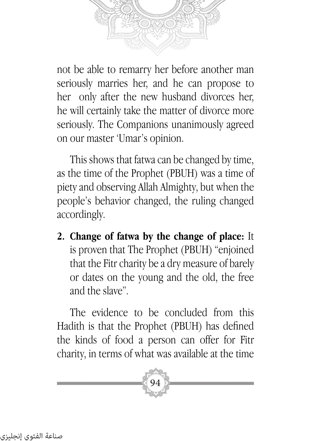

not be able to remarry her before another man seriously marries her, and he can propose to her only after the new husband divorces her, he will certainly take the matter of divorce more seriously. The Companions unanimously agreed on our master 'Umar's opinion.

This shows that fatwa can be changed by time, as the time of the Prophet (PBUH) was a time of piety and observing Allah Almighty, but when the people's behavior changed, the ruling changed accordingly.

**2. Change of fatwa by the change of place:** It is proven that The Prophet (PBUH) "enjoined that the Fitr charity be a dry measure of barely or dates on the young and the old, the free and the slave".

The evidence to be concluded from this Hadith is that the Prophet (PBUH) has defined the kinds of food a person can offer for Fitr charity, in terms of what was available at the time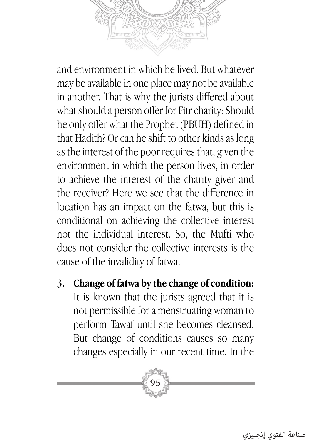and environment in which he lived. But whatever may be available in one place may not be available in another. That is why the jurists differed about what should a person offer for Fitr charity: Should he only offer what the Prophet (PBUH) defined in that Hadith? Or can he shift to other kinds as long as the interest of the poor requires that, given the environment in which the person lives, in order to achieve the interest of the charity giver and the receiver? Here we see that the difference in location has an impact on the fatwa, but this is conditional on achieving the collective interest not the individual interest. So, the Mufti who does not consider the collective interests is the cause of the invalidity of fatwa.

**3. Change of fatwa by the change of condition:**  It is known that the jurists agreed that it is not permissible for a menstruating woman to perform Tawaf until she becomes cleansed. But change of conditions causes so many changes especially in our recent time. In the

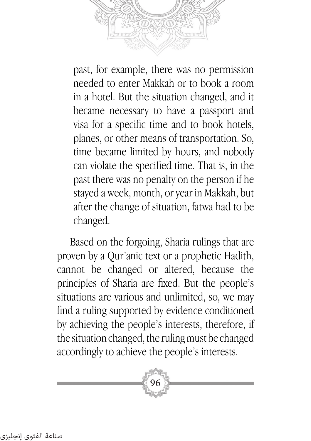

past, for example, there was no permission needed to enter Makkah or to book a room in a hotel. But the situation changed, and it became necessary to have a passport and visa for a specific time and to book hotels, planes, or other means of transportation. So, time became limited by hours, and nobody can violate the specified time. That is, in the past there was no penalty on the person if he stayed a week, month, or year in Makkah, but after the change of situation, fatwa had to be changed.

Based on the forgoing, Sharia rulings that are proven by a Qur'anic text or a prophetic Hadith, cannot be changed or altered, because the principles of Sharia are fixed. But the people's situations are various and unlimited, so, we may find a ruling supported by evidence conditioned by achieving the people's interests, therefore, if the situation changed, the ruling must be changed accordingly to achieve the people's interests.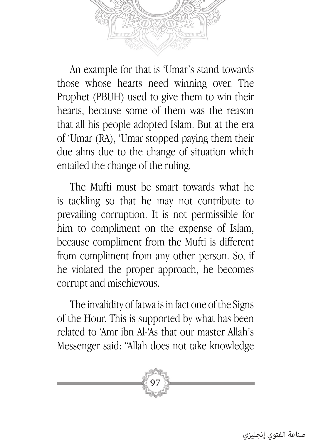

An example for that is 'Umar's stand towards those whose hearts need winning over. The Prophet (PBUH) used to give them to win their hearts, because some of them was the reason that all his people adopted Islam. But at the era of 'Umar (RA), 'Umar stopped paying them their due alms due to the change of situation which entailed the change of the ruling.

The Mufti must be smart towards what he is tackling so that he may not contribute to prevailing corruption. It is not permissible for him to compliment on the expense of Islam, because compliment from the Mufti is different from compliment from any other person. So, if he violated the proper approach, he becomes corrupt and mischievous.

The invalidity of fatwa is in fact one of the Signs of the Hour. This is supported by what has been related to 'Amr ibn Al-'As that our master Allah's Messenger said: "Allah does not take knowledge

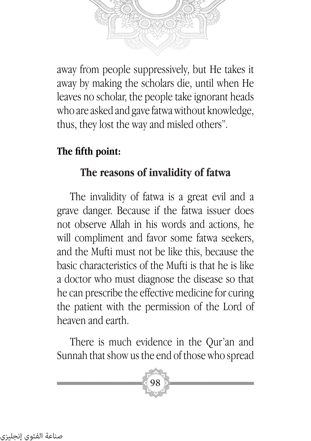away from people suppressively, but He takes it away by making the scholars die, until when He leaves no scholar, the people take ignorant heads who are asked and gave fatwa without knowledge, thus, they lost the way and misled others".

### **The fifth point:**

## **The reasons of invalidity of fatwa**

The invalidity of fatwa is a great evil and a grave danger. Because if the fatwa issuer does not observe Allah in his words and actions, he will compliment and favor some fatwa seekers, and the Mufti must not be like this, because the basic characteristics of the Mufti is that he is like a doctor who must diagnose the disease so that he can prescribe the effective medicine for curing the patient with the permission of the Lord of heaven and earth.

There is much evidence in the Qur'an and Sunnah that show us the end of those who spread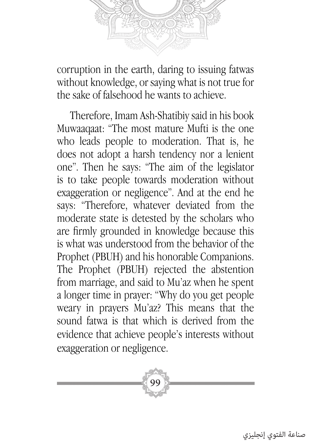

corruption in the earth, daring to issuing fatwas without knowledge, or saying what is not true for the sake of falsehood he wants to achieve.

Therefore, Imam Ash-Shatibiy said in his book Muwaaqaat: "The most mature Mufti is the one who leads people to moderation. That is, he does not adopt a harsh tendency nor a lenient one". Then he says: "The aim of the legislator is to take people towards moderation without exaggeration or negligence". And at the end he says: "Therefore, whatever deviated from the moderate state is detested by the scholars who are firmly grounded in knowledge because this is what was understood from the behavior of the Prophet (PBUH) and his honorable Companions. The Prophet (PBUH) rejected the abstention from marriage, and said to Mu'az when he spent a longer time in prayer: "Why do you get people weary in prayers Mu'az? This means that the sound fatwa is that which is derived from the evidence that achieve people's interests without exaggeration or negligence.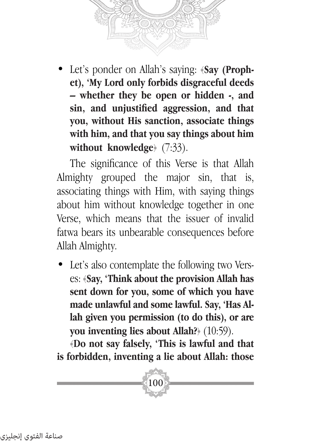

Let's ponder on Allah's saying: **(Say (Prophet), 'My Lord only forbids disgraceful deeds – whether they be open or hidden -, and sin, and unjustified aggression, and that you, without His sanction, associate things with him, and that you say things about him without knowledge** (7:33).

The significance of this Verse is that Allah Almighty grouped the major sin, that is, associating things with Him, with saying things about him without knowledge together in one Verse, which means that the issuer of invalid fatwa bears its unbearable consequences before Allah Almighty.

• Let's also contemplate the following two Verses: ﴿**Say, 'Think about the provision Allah has sent down for you, some of which you have made unlawful and some lawful. Say, 'Has Allah given you permission (to do this), or are you inventing lies about Allah?**﴾ (10:59).

﴿**Do not say falsely, 'This is lawful and that is forbidden, inventing a lie about Allah: those**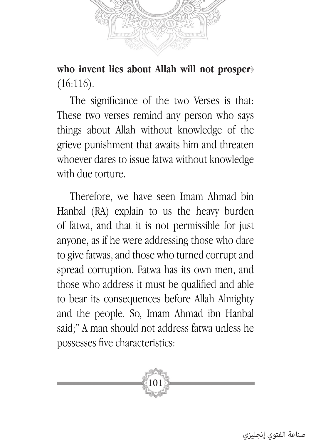

**who invent lies about Allah will not prosper**﴾  $(16:116).$ 

The significance of the two Verses is that: These two verses remind any person who says things about Allah without knowledge of the grieve punishment that awaits him and threaten whoever dares to issue fatwa without knowledge with due torture.

Therefore, we have seen Imam Ahmad bin Hanbal (RA) explain to us the heavy burden of fatwa, and that it is not permissible for just anyone, as if he were addressing those who dare to give fatwas, and those who turned corrupt and spread corruption. Fatwa has its own men, and those who address it must be qualified and able to bear its consequences before Allah Almighty and the people. So, Imam Ahmad ibn Hanbal said;" A man should not address fatwa unless he possesses five characteristics:

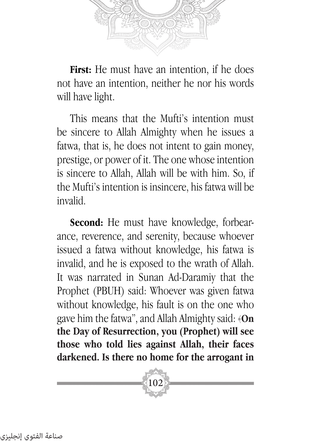

**First:** He must have an intention, if he does not have an intention, neither he nor his words will have light.

This means that the Mufti's intention must be sincere to Allah Almighty when he issues a fatwa, that is, he does not intent to gain money, prestige, or power of it. The one whose intention is sincere to Allah, Allah will be with him. So, if the Mufti's intention is insincere, his fatwa will be invalid.

**Second:** He must have knowledge, forbearance, reverence, and serenity, because whoever issued a fatwa without knowledge, his fatwa is invalid, and he is exposed to the wrath of Allah. It was narrated in Sunan Ad-Daramiy that the Prophet (PBUH) said: Whoever was given fatwa without knowledge, his fault is on the one who gave him the fatwa", and Allah Almighty said: ﴿**On the Day of Resurrection, you (Prophet) will see those who told lies against Allah, their faces darkened. Is there no home for the arrogant in**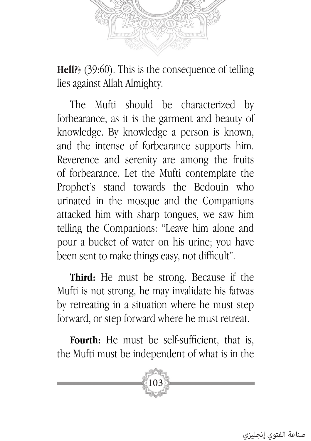

**Hell?**﴾ (39:60). This is the consequence of telling lies against Allah Almighty.

The Mufti should be characterized by forbearance, as it is the garment and beauty of knowledge. By knowledge a person is known, and the intense of forbearance supports him. Reverence and serenity are among the fruits of forbearance. Let the Mufti contemplate the Prophet's stand towards the Bedouin who urinated in the mosque and the Companions attacked him with sharp tongues, we saw him telling the Companions: "Leave him alone and pour a bucket of water on his urine; you have been sent to make things easy, not difficult".

**Third:** He must be strong. Because if the Mufti is not strong, he may invalidate his fatwas by retreating in a situation where he must step forward, or step forward where he must retreat.

Fourth: He must be self-sufficient, that is, the Mufti must be independent of what is in the

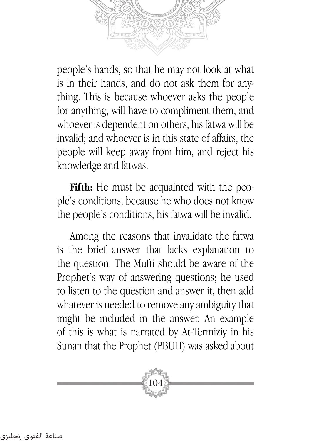

people's hands, so that he may not look at what is in their hands, and do not ask them for anything. This is because whoever asks the people for anything, will have to compliment them, and whoever is dependent on others, his fatwa will be invalid; and whoever is in this state of affairs, the people will keep away from him, and reject his knowledge and fatwas.

**Fifth:** He must be acquainted with the people's conditions, because he who does not know the people's conditions, his fatwa will be invalid.

Among the reasons that invalidate the fatwa is the brief answer that lacks explanation to the question. The Mufti should be aware of the Prophet's way of answering questions; he used to listen to the question and answer it, then add whatever is needed to remove any ambiguity that might be included in the answer. An example of this is what is narrated by At-Termiziy in his Sunan that the Prophet (PBUH) was asked about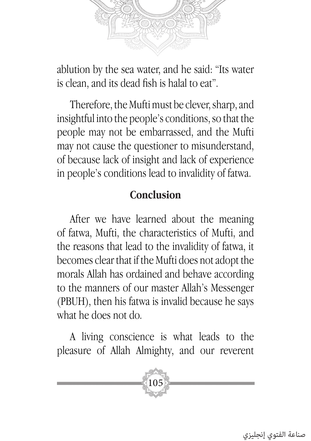

ablution by the sea water, and he said: "Its water is clean, and its dead fish is halal to eat".

Therefore, the Mufti must be clever, sharp, and insightful into the people's conditions, so that the people may not be embarrassed, and the Mufti may not cause the questioner to misunderstand, of because lack of insight and lack of experience in people's conditions lead to invalidity of fatwa.

#### **Conclusion**

After we have learned about the meaning of fatwa, Mufti, the characteristics of Mufti, and the reasons that lead to the invalidity of fatwa, it becomes clear that if the Mufti does not adopt the morals Allah has ordained and behave according to the manners of our master Allah's Messenger (PBUH), then his fatwa is invalid because he says what he does not do.

A living conscience is what leads to the pleasure of Allah Almighty, and our reverent

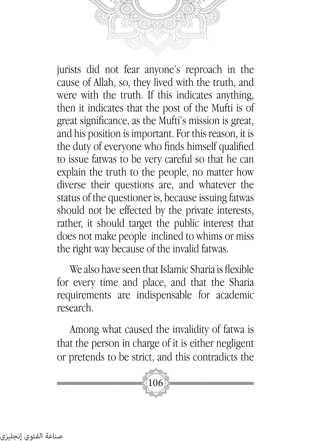jurists did not fear anyone's reproach in the cause of Allah, so, they lived with the truth, and were with the truth. If this indicates anything, then it indicates that the post of the Mufti is of great significance, as the Mufti's mission is great, and his position is important. For this reason, it is the duty of everyone who finds himself qualified to issue fatwas to be very careful so that he can explain the truth to the people, no matter how diverse their questions are, and whatever the status of the questioner is, because issuing fatwas should not be effected by the private interests, rather, it should target the public interest that does not make people inclined to whims or miss the right way because of the invalid fatwas.

We also have seen that Islamic Sharia is flexible for every time and place, and that the Sharia requirements are indispensable for academic research.

Among what caused the invalidity of fatwa is that the person in charge of it is either negligent or pretends to be strict, and this contradicts the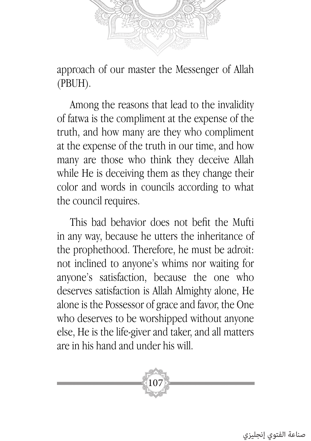

approach of our master the Messenger of Allah (PBUH).

Among the reasons that lead to the invalidity of fatwa is the compliment at the expense of the truth, and how many are they who compliment at the expense of the truth in our time, and how many are those who think they deceive Allah while He is deceiving them as they change their color and words in councils according to what the council requires.

This bad behavior does not befit the Mufti in any way, because he utters the inheritance of the prophethood. Therefore, he must be adroit: not inclined to anyone's whims nor waiting for anyone's satisfaction, because the one who deserves satisfaction is Allah Almighty alone, He alone is the Possessor of grace and favor, the One who deserves to be worshipped without anyone else, He is the life-giver and taker, and all matters are in his hand and under his will.

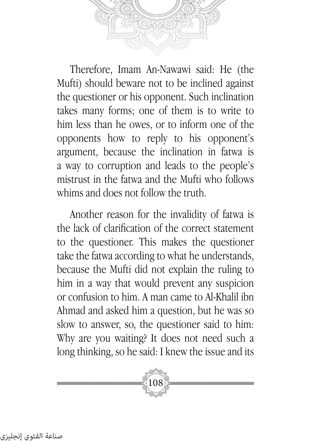

Therefore, Imam An-Nawawi said: He (the Mufti) should beware not to be inclined against the questioner or his opponent. Such inclination takes many forms; one of them is to write to him less than he owes, or to inform one of the opponents how to reply to his opponent's argument, because the inclination in fatwa is a way to corruption and leads to the people's mistrust in the fatwa and the Mufti who follows whims and does not follow the truth.

Another reason for the invalidity of fatwa is the lack of clarification of the correct statement to the questioner. This makes the questioner take the fatwa according to what he understands, because the Mufti did not explain the ruling to him in a way that would prevent any suspicion or confusion to him. A man came to Al-Khalil ibn Ahmad and asked him a question, but he was so slow to answer, so, the questioner said to him: Why are you waiting? It does not need such a long thinking, so he said: I knew the issue and its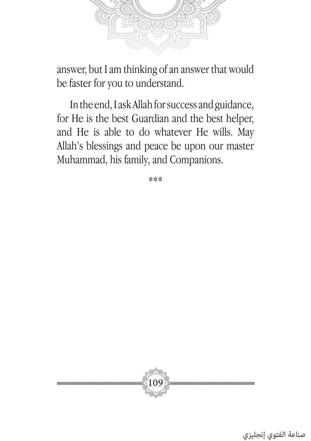

answer, but I am thinking of an answer that would be faster for you to understand.

In the end, I ask Allah for success and guidance, for He is the best Guardian and the best helper, and He is able to do whatever He wills. May Allah's blessings and peace be upon our master Muhammad, his family, and Companions.

\*\*\*

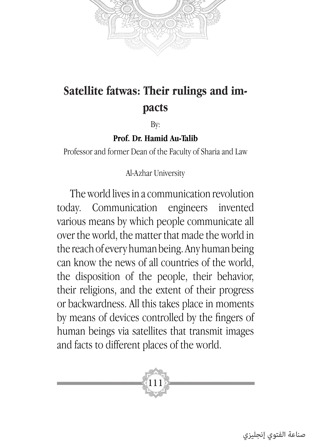

# **Satellite fatwas: Their rulings and impacts**

By:

#### **Prof. Dr. Hamid Au-Talib**

Professor and former Dean of the Faculty of Sharia and Law

Al-Azhar University

The world lives in a communication revolution today. Communication engineers invented various means by which people communicate all over the world, the matter that made the world in the reach of every human being. Any human being can know the news of all countries of the world, the disposition of the people, their behavior, their religions, and the extent of their progress or backwardness. All this takes place in moments by means of devices controlled by the fingers of human beings via satellites that transmit images and facts to different places of the world.

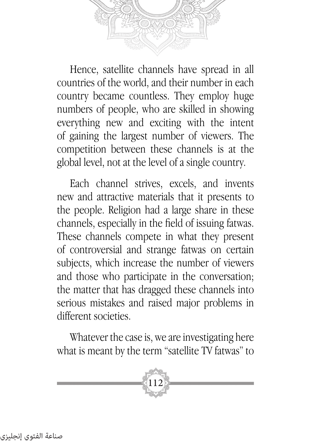

Hence, satellite channels have spread in all countries of the world, and their number in each country became countless. They employ huge numbers of people, who are skilled in showing everything new and exciting with the intent of gaining the largest number of viewers. The competition between these channels is at the global level, not at the level of a single country.

Each channel strives, excels, and invents new and attractive materials that it presents to the people. Religion had a large share in these channels, especially in the field of issuing fatwas. These channels compete in what they present of controversial and strange fatwas on certain subjects, which increase the number of viewers and those who participate in the conversation; the matter that has dragged these channels into serious mistakes and raised major problems in different societies.

Whatever the case is, we are investigating here what is meant by the term "satellite TV fatwas" to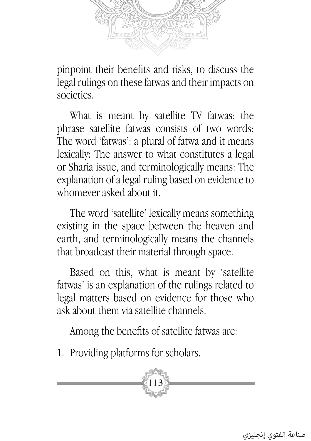

pinpoint their benefits and risks, to discuss the legal rulings on these fatwas and their impacts on societies.

What is meant by satellite TV fatwas: the phrase satellite fatwas consists of two words: The word 'fatwas': a plural of fatwa and it means lexically: The answer to what constitutes a legal or Sharia issue, and terminologically means: The explanation of a legal ruling based on evidence to whomever asked about it.

The word 'satellite' lexically means something existing in the space between the heaven and earth, and terminologically means the channels that broadcast their material through space.

Based on this, what is meant by 'satellite fatwas' is an explanation of the rulings related to legal matters based on evidence for those who ask about them via satellite channels.

Among the benefits of satellite fatwas are:

1. Providing platforms for scholars.

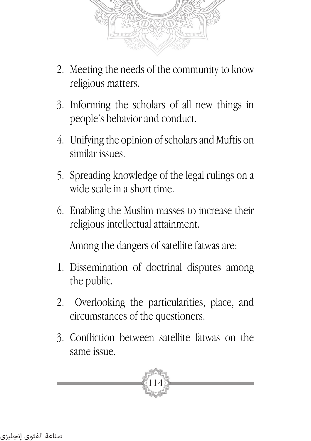

- 2. Meeting the needs of the community to know religious matters.
- 3. Informing the scholars of all new things in people's behavior and conduct.
- 4. Unifying the opinion of scholars and Muftis on similar issues.
- 5. Spreading knowledge of the legal rulings on a wide scale in a short time.
- 6. Enabling the Muslim masses to increase their religious intellectual attainment.

Among the dangers of satellite fatwas are:

- 1. Dissemination of doctrinal disputes among the public.
- 2. Overlooking the particularities, place, and circumstances of the questioners.
- 3. Confliction between satellite fatwas on the same issue.

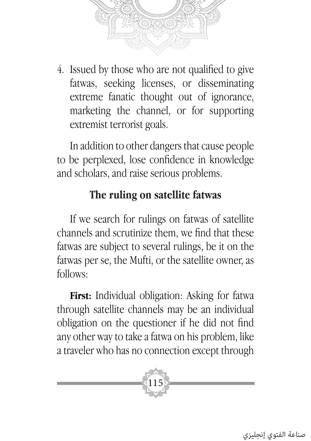

4. Issued by those who are not qualified to give fatwas, seeking licenses, or disseminating extreme fanatic thought out of ignorance, marketing the channel, or for supporting extremist terrorist goals.

In addition to other dangers that cause people to be perplexed, lose confidence in knowledge and scholars, and raise serious problems.

## **The ruling on satellite fatwas**

If we search for rulings on fatwas of satellite channels and scrutinize them, we find that these fatwas are subject to several rulings, be it on the fatwas per se, the Mufti, or the satellite owner, as follows:

**First:** Individual obligation: Asking for fatwa through satellite channels may be an individual obligation on the questioner if he did not find any other way to take a fatwa on his problem, like a traveler who has no connection except through

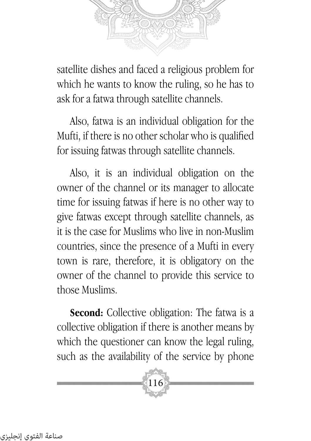

satellite dishes and faced a religious problem for which he wants to know the ruling, so he has to ask for a fatwa through satellite channels.

Also, fatwa is an individual obligation for the Mufti, if there is no other scholar who is qualified for issuing fatwas through satellite channels.

Also, it is an individual obligation on the owner of the channel or its manager to allocate time for issuing fatwas if here is no other way to give fatwas except through satellite channels, as it is the case for Muslims who live in non-Muslim countries, since the presence of a Mufti in every town is rare, therefore, it is obligatory on the owner of the channel to provide this service to those Muslims.

**Second:** Collective obligation: The fatwa is a collective obligation if there is another means by which the questioner can know the legal ruling, such as the availability of the service by phone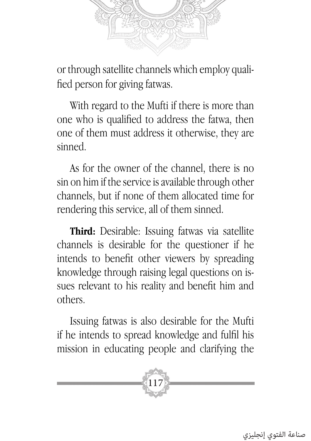

or through satellite channels which employ qualified person for giving fatwas.

With regard to the Mufti if there is more than one who is qualified to address the fatwa, then one of them must address it otherwise, they are sinned.

As for the owner of the channel, there is no sin on him if the service is available through other channels, but if none of them allocated time for rendering this service, all of them sinned.

**Third:** Desirable: Issuing fatwas via satellite channels is desirable for the questioner if he intends to benefit other viewers by spreading knowledge through raising legal questions on issues relevant to his reality and benefit him and others.

Issuing fatwas is also desirable for the Mufti if he intends to spread knowledge and fulfil his mission in educating people and clarifying the

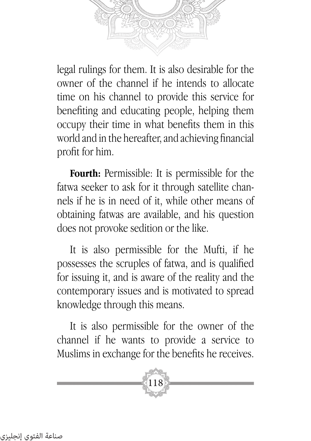

legal rulings for them. It is also desirable for the owner of the channel if he intends to allocate time on his channel to provide this service for benefiting and educating people, helping them occupy their time in what benefits them in this world and in the hereafter, and achieving financial profit for him.

**Fourth:** Permissible: It is permissible for the fatwa seeker to ask for it through satellite channels if he is in need of it, while other means of obtaining fatwas are available, and his question does not provoke sedition or the like.

It is also permissible for the Mufti, if he possesses the scruples of fatwa, and is qualified for issuing it, and is aware of the reality and the contemporary issues and is motivated to spread knowledge through this means.

It is also permissible for the owner of the channel if he wants to provide a service to Muslims in exchange for the benefits he receives.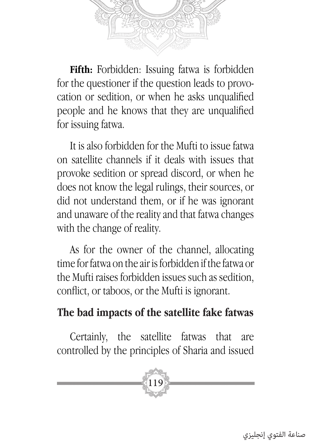

**Fifth:** Forbidden: Issuing fatwa is forbidden for the questioner if the question leads to provocation or sedition, or when he asks unqualified people and he knows that they are unqualified for issuing fatwa.

It is also forbidden for the Mufti to issue fatwa on satellite channels if it deals with issues that provoke sedition or spread discord, or when he does not know the legal rulings, their sources, or did not understand them, or if he was ignorant and unaware of the reality and that fatwa changes with the change of reality.

As for the owner of the channel, allocating time for fatwa on the air is forbidden if the fatwa or the Mufti raises forbidden issues such as sedition, conflict, or taboos, or the Mufti is ignorant.

### **The bad impacts of the satellite fake fatwas**

Certainly, the satellite fatwas that are controlled by the principles of Sharia and issued

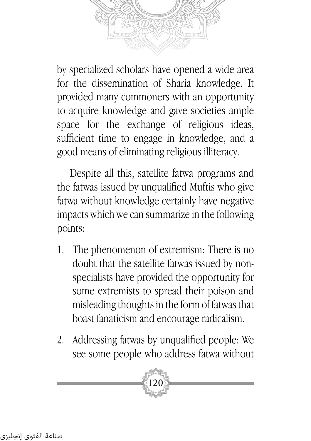by specialized scholars have opened a wide area for the dissemination of Sharia knowledge. It provided many commoners with an opportunity to acquire knowledge and gave societies ample space for the exchange of religious ideas, sufficient time to engage in knowledge, and a good means of eliminating religious illiteracy.

Despite all this, satellite fatwa programs and the fatwas issued by unqualified Muftis who give fatwa without knowledge certainly have negative impacts which we can summarize in the following points:

- 1. The phenomenon of extremism: There is no doubt that the satellite fatwas issued by nonspecialists have provided the opportunity for some extremists to spread their poison and misleading thoughts in the form of fatwas that boast fanaticism and encourage radicalism.
- 2. Addressing fatwas by unqualified people: We see some people who address fatwa without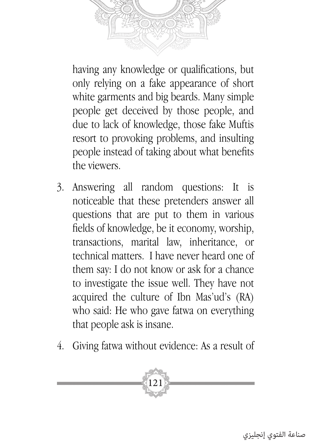

having any knowledge or qualifications, but only relying on a fake appearance of short white garments and big beards. Many simple people get deceived by those people, and due to lack of knowledge, those fake Muftis resort to provoking problems, and insulting people instead of taking about what benefits the viewers.

- 3. Answering all random questions: It is noticeable that these pretenders answer all questions that are put to them in various fields of knowledge, be it economy, worship, transactions, marital law, inheritance, or technical matters. I have never heard one of them say: I do not know or ask for a chance to investigate the issue well. They have not acquired the culture of Ibn Mas'ud's (RA) who said: He who gave fatwa on everything that people ask is insane.
- 4. Giving fatwa without evidence: As a result of

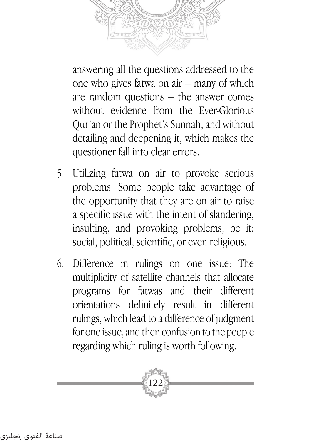answering all the questions addressed to the one who gives fatwa on air – many of which are random questions – the answer comes without evidence from the Ever-Glorious Qur'an or the Prophet's Sunnah, and without detailing and deepening it, which makes the questioner fall into clear errors.

- 5. Utilizing fatwa on air to provoke serious problems: Some people take advantage of the opportunity that they are on air to raise a specific issue with the intent of slandering, insulting, and provoking problems, be it: social, political, scientific, or even religious.
- 6. Difference in rulings on one issue: The multiplicity of satellite channels that allocate programs for fatwas and their different orientations definitely result in different rulings, which lead to a difference of judgment for one issue, and then confusion to the people regarding which ruling is worth following.

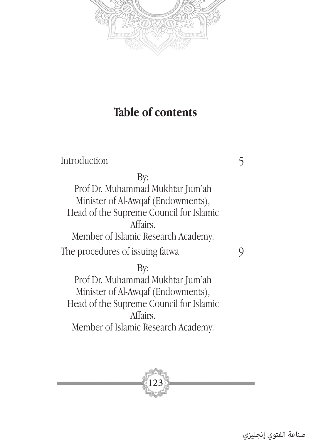

# **Table of contents**

| Introduction                            |  |
|-----------------------------------------|--|
| By:                                     |  |
| Prof Dr. Muhammad Mukhtar Jum'ah        |  |
| Minister of Al-Awqaf (Endowments),      |  |
| Head of the Supreme Council for Islamic |  |
| Affairs.                                |  |
| Member of Islamic Research Academy.     |  |
| The procedures of issuing fatwa         |  |
| By:                                     |  |
| Prof Dr. Muhammad Mukhtar Jum'ah        |  |
| Minister of Al-Awqaf (Endowments),      |  |
| Head of the Supreme Council for Islamic |  |

Affairs. Member of Islamic Research Academy.



صناعة الفتوي إنجليزي

5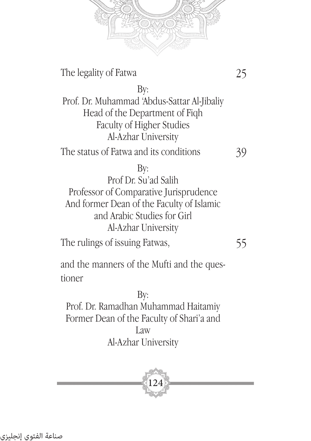

The legality of Fatwa

25

By: Prof. Dr. Muhammad 'Abdus-Sattar Al-Jibaliy Head of the Department of Fiqh Faculty of Higher Studies Al-Azhar University The status of Fatwa and its conditions 39

#### By:

Prof Dr. Su'ad Salih Professor of Comparative Jurisprudence And former Dean of the Faculty of Islamic and Arabic Studies for Girl Al-Azhar University

The rulings of issuing Fatwas,

55

and the manners of the Mufti and the questioner

By: Prof. Dr. Ramadhan Muhammad Haitamiy Former Dean of the Faculty of Shari'a and Law Al-Azhar University

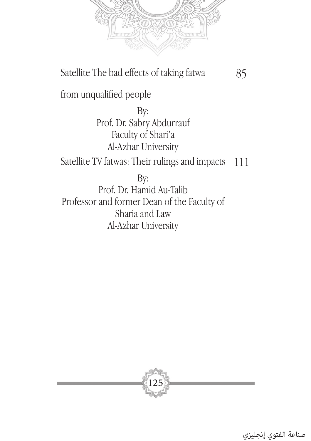

Satellite The bad effects of taking fatwa

85

from unqualified people

By: Prof. Dr. Sabry Abdurrauf Faculty of Shari'a Al-Azhar University

Satellite TV fatwas: Their rulings and impacts 111

By:

Prof. Dr. Hamid Au-Talib Professor and former Dean of the Faculty of Sharia and Law Al-Azhar University